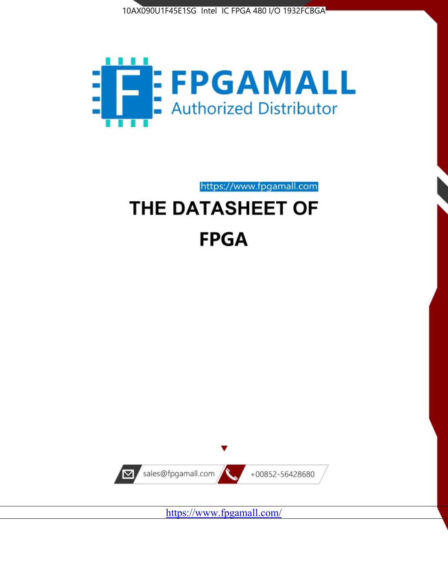



https://www.fpgamall.com

# THE DATASHEET OF **FPGA**



<https://www.fpgamall.com/>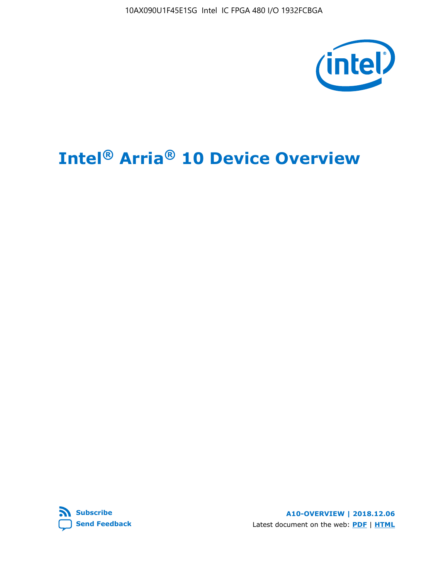10AX090U1F45E1SG Intel IC FPGA 480 I/O 1932FCBGA



# **Intel® Arria® 10 Device Overview**



**A10-OVERVIEW | 2018.12.06** Latest document on the web: **[PDF](https://www.intel.com/content/dam/www/programmable/us/en/pdfs/literature/hb/arria-10/a10_overview.pdf)** | **[HTML](https://www.intel.com/content/www/us/en/programmable/documentation/sam1403480274650.html)**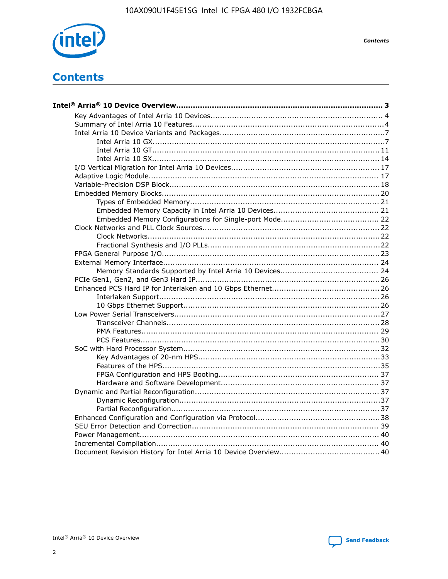

**Contents** 

# **Contents**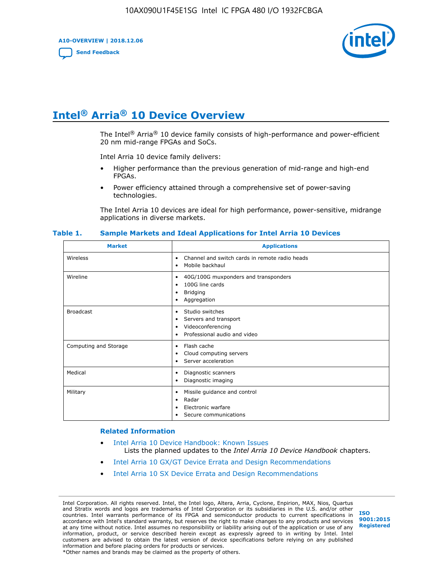**A10-OVERVIEW | 2018.12.06**

**[Send Feedback](mailto:FPGAtechdocfeedback@intel.com?subject=Feedback%20on%20Intel%20Arria%2010%20Device%20Overview%20(A10-OVERVIEW%202018.12.06)&body=We%20appreciate%20your%20feedback.%20In%20your%20comments,%20also%20specify%20the%20page%20number%20or%20paragraph.%20Thank%20you.)**



# **Intel® Arria® 10 Device Overview**

The Intel<sup>®</sup> Arria<sup>®</sup> 10 device family consists of high-performance and power-efficient 20 nm mid-range FPGAs and SoCs.

Intel Arria 10 device family delivers:

- Higher performance than the previous generation of mid-range and high-end FPGAs.
- Power efficiency attained through a comprehensive set of power-saving technologies.

The Intel Arria 10 devices are ideal for high performance, power-sensitive, midrange applications in diverse markets.

| <b>Market</b>         | <b>Applications</b>                                                                                               |
|-----------------------|-------------------------------------------------------------------------------------------------------------------|
| Wireless              | Channel and switch cards in remote radio heads<br>٠<br>Mobile backhaul<br>٠                                       |
| Wireline              | 40G/100G muxponders and transponders<br>٠<br>100G line cards<br>٠<br><b>Bridging</b><br>٠<br>Aggregation<br>٠     |
| <b>Broadcast</b>      | Studio switches<br>٠<br>Servers and transport<br>٠<br>Videoconferencing<br>٠<br>Professional audio and video<br>٠ |
| Computing and Storage | Flash cache<br>٠<br>Cloud computing servers<br>٠<br>Server acceleration<br>٠                                      |
| Medical               | Diagnostic scanners<br>٠<br>Diagnostic imaging<br>٠                                                               |
| Military              | Missile guidance and control<br>٠<br>Radar<br>٠<br>Electronic warfare<br>٠<br>Secure communications<br>٠          |

#### **Table 1. Sample Markets and Ideal Applications for Intel Arria 10 Devices**

#### **Related Information**

- [Intel Arria 10 Device Handbook: Known Issues](http://www.altera.com/support/kdb/solutions/rd07302013_646.html) Lists the planned updates to the *Intel Arria 10 Device Handbook* chapters.
- [Intel Arria 10 GX/GT Device Errata and Design Recommendations](https://www.intel.com/content/www/us/en/programmable/documentation/agz1493851706374.html#yqz1494433888646)
- [Intel Arria 10 SX Device Errata and Design Recommendations](https://www.intel.com/content/www/us/en/programmable/documentation/cru1462832385668.html#cru1462832558642)

Intel Corporation. All rights reserved. Intel, the Intel logo, Altera, Arria, Cyclone, Enpirion, MAX, Nios, Quartus and Stratix words and logos are trademarks of Intel Corporation or its subsidiaries in the U.S. and/or other countries. Intel warrants performance of its FPGA and semiconductor products to current specifications in accordance with Intel's standard warranty, but reserves the right to make changes to any products and services at any time without notice. Intel assumes no responsibility or liability arising out of the application or use of any information, product, or service described herein except as expressly agreed to in writing by Intel. Intel customers are advised to obtain the latest version of device specifications before relying on any published information and before placing orders for products or services. \*Other names and brands may be claimed as the property of others.

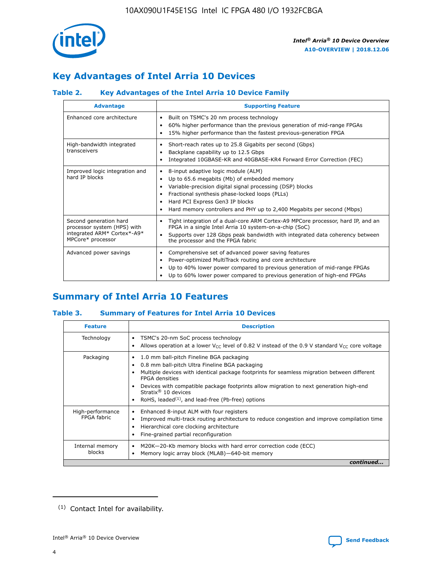

# **Key Advantages of Intel Arria 10 Devices**

# **Table 2. Key Advantages of the Intel Arria 10 Device Family**

| <b>Advantage</b>                                                                                          | <b>Supporting Feature</b>                                                                                                                                                                                                                                                                                                |  |  |  |  |  |
|-----------------------------------------------------------------------------------------------------------|--------------------------------------------------------------------------------------------------------------------------------------------------------------------------------------------------------------------------------------------------------------------------------------------------------------------------|--|--|--|--|--|
| Enhanced core architecture                                                                                | Built on TSMC's 20 nm process technology<br>٠<br>60% higher performance than the previous generation of mid-range FPGAs<br>٠<br>15% higher performance than the fastest previous-generation FPGA<br>٠                                                                                                                    |  |  |  |  |  |
| High-bandwidth integrated<br>transceivers                                                                 | Short-reach rates up to 25.8 Gigabits per second (Gbps)<br>٠<br>Backplane capability up to 12.5 Gbps<br>٠<br>Integrated 10GBASE-KR and 40GBASE-KR4 Forward Error Correction (FEC)<br>٠                                                                                                                                   |  |  |  |  |  |
| Improved logic integration and<br>hard IP blocks                                                          | 8-input adaptive logic module (ALM)<br>٠<br>Up to 65.6 megabits (Mb) of embedded memory<br>٠<br>Variable-precision digital signal processing (DSP) blocks<br>Fractional synthesis phase-locked loops (PLLs)<br>Hard PCI Express Gen3 IP blocks<br>Hard memory controllers and PHY up to 2,400 Megabits per second (Mbps) |  |  |  |  |  |
| Second generation hard<br>processor system (HPS) with<br>integrated ARM* Cortex*-A9*<br>MPCore* processor | Tight integration of a dual-core ARM Cortex-A9 MPCore processor, hard IP, and an<br>٠<br>FPGA in a single Intel Arria 10 system-on-a-chip (SoC)<br>Supports over 128 Gbps peak bandwidth with integrated data coherency between<br>$\bullet$<br>the processor and the FPGA fabric                                        |  |  |  |  |  |
| Advanced power savings                                                                                    | Comprehensive set of advanced power saving features<br>٠<br>Power-optimized MultiTrack routing and core architecture<br>٠<br>Up to 40% lower power compared to previous generation of mid-range FPGAs<br>٠<br>Up to 60% lower power compared to previous generation of high-end FPGAs                                    |  |  |  |  |  |

# **Summary of Intel Arria 10 Features**

## **Table 3. Summary of Features for Intel Arria 10 Devices**

| <b>Feature</b>                  | <b>Description</b>                                                                                                                                                                                                                                                                                                                                                                                 |
|---------------------------------|----------------------------------------------------------------------------------------------------------------------------------------------------------------------------------------------------------------------------------------------------------------------------------------------------------------------------------------------------------------------------------------------------|
| Technology                      | TSMC's 20-nm SoC process technology<br>Allows operation at a lower $V_{\text{CC}}$ level of 0.82 V instead of the 0.9 V standard $V_{\text{CC}}$ core voltage                                                                                                                                                                                                                                      |
| Packaging                       | 1.0 mm ball-pitch Fineline BGA packaging<br>٠<br>0.8 mm ball-pitch Ultra Fineline BGA packaging<br>Multiple devices with identical package footprints for seamless migration between different<br><b>FPGA</b> densities<br>Devices with compatible package footprints allow migration to next generation high-end<br>Stratix $@10$ devices<br>RoHS, leaded $(1)$ , and lead-free (Pb-free) options |
| High-performance<br>FPGA fabric | Enhanced 8-input ALM with four registers<br>Improved multi-track routing architecture to reduce congestion and improve compilation time<br>Hierarchical core clocking architecture<br>Fine-grained partial reconfiguration                                                                                                                                                                         |
| Internal memory<br>blocks       | M20K-20-Kb memory blocks with hard error correction code (ECC)<br>Memory logic array block (MLAB)-640-bit memory                                                                                                                                                                                                                                                                                   |
|                                 | continued                                                                                                                                                                                                                                                                                                                                                                                          |



<sup>(1)</sup> Contact Intel for availability.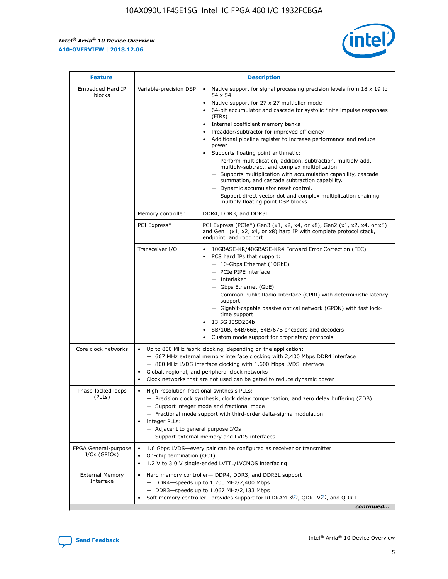$\mathsf{r}$ 



| <b>Feature</b>                         |                                                                                                                | <b>Description</b>                                                                                                                                                                                                                                                                                                                                                                                                                                                                                                                                                                                                                                                                                                                                                                                                                          |
|----------------------------------------|----------------------------------------------------------------------------------------------------------------|---------------------------------------------------------------------------------------------------------------------------------------------------------------------------------------------------------------------------------------------------------------------------------------------------------------------------------------------------------------------------------------------------------------------------------------------------------------------------------------------------------------------------------------------------------------------------------------------------------------------------------------------------------------------------------------------------------------------------------------------------------------------------------------------------------------------------------------------|
| Embedded Hard IP<br>blocks             | Variable-precision DSP                                                                                         | Native support for signal processing precision levels from $18 \times 19$ to<br>$\bullet$<br>54 x 54<br>Native support for 27 x 27 multiplier mode<br>64-bit accumulator and cascade for systolic finite impulse responses<br>(FIRs)<br>Internal coefficient memory banks<br>٠<br>Preadder/subtractor for improved efficiency<br>Additional pipeline register to increase performance and reduce<br>power<br>Supports floating point arithmetic:<br>- Perform multiplication, addition, subtraction, multiply-add,<br>multiply-subtract, and complex multiplication.<br>- Supports multiplication with accumulation capability, cascade<br>summation, and cascade subtraction capability.<br>- Dynamic accumulator reset control.<br>- Support direct vector dot and complex multiplication chaining<br>multiply floating point DSP blocks. |
|                                        | Memory controller                                                                                              | DDR4, DDR3, and DDR3L                                                                                                                                                                                                                                                                                                                                                                                                                                                                                                                                                                                                                                                                                                                                                                                                                       |
|                                        | PCI Express*                                                                                                   | PCI Express (PCIe*) Gen3 (x1, x2, x4, or x8), Gen2 (x1, x2, x4, or x8)<br>and Gen1 (x1, x2, x4, or x8) hard IP with complete protocol stack,<br>endpoint, and root port                                                                                                                                                                                                                                                                                                                                                                                                                                                                                                                                                                                                                                                                     |
|                                        | Transceiver I/O                                                                                                | 10GBASE-KR/40GBASE-KR4 Forward Error Correction (FEC)<br>PCS hard IPs that support:<br>- 10-Gbps Ethernet (10GbE)<br>- PCIe PIPE interface<br>- Interlaken<br>- Gbps Ethernet (GbE)<br>- Common Public Radio Interface (CPRI) with deterministic latency<br>support<br>- Gigabit-capable passive optical network (GPON) with fast lock-<br>time support<br>13.5G JESD204b<br>$\bullet$<br>8B/10B, 64B/66B, 64B/67B encoders and decoders<br>Custom mode support for proprietary protocols                                                                                                                                                                                                                                                                                                                                                   |
| Core clock networks                    | $\bullet$<br>$\bullet$                                                                                         | Up to 800 MHz fabric clocking, depending on the application:<br>- 667 MHz external memory interface clocking with 2,400 Mbps DDR4 interface<br>- 800 MHz LVDS interface clocking with 1,600 Mbps LVDS interface<br>Global, regional, and peripheral clock networks<br>Clock networks that are not used can be gated to reduce dynamic power                                                                                                                                                                                                                                                                                                                                                                                                                                                                                                 |
| Phase-locked loops<br>(PLLs)           | High-resolution fractional synthesis PLLs:<br>$\bullet$<br>Integer PLLs:<br>- Adjacent to general purpose I/Os | - Precision clock synthesis, clock delay compensation, and zero delay buffering (ZDB)<br>- Support integer mode and fractional mode<br>- Fractional mode support with third-order delta-sigma modulation<br>- Support external memory and LVDS interfaces                                                                                                                                                                                                                                                                                                                                                                                                                                                                                                                                                                                   |
| FPGA General-purpose<br>$I/Os$ (GPIOs) | On-chip termination (OCT)<br>$\bullet$                                                                         | 1.6 Gbps LVDS-every pair can be configured as receiver or transmitter<br>1.2 V to 3.0 V single-ended LVTTL/LVCMOS interfacing                                                                                                                                                                                                                                                                                                                                                                                                                                                                                                                                                                                                                                                                                                               |
| <b>External Memory</b><br>Interface    |                                                                                                                | Hard memory controller- DDR4, DDR3, and DDR3L support<br>$-$ DDR4-speeds up to 1,200 MHz/2,400 Mbps<br>- DDR3-speeds up to 1,067 MHz/2,133 Mbps<br>Soft memory controller—provides support for RLDRAM $3^{(2)}$ , QDR IV $(2^2)$ , and QDR II+<br>continued                                                                                                                                                                                                                                                                                                                                                                                                                                                                                                                                                                                 |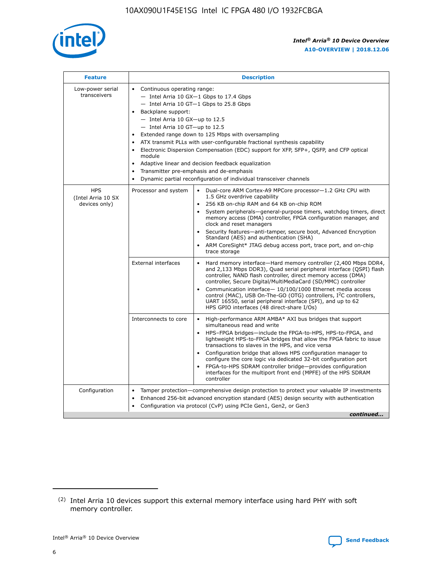

| <b>Feature</b>                                    | <b>Description</b>                                                                                                                                                                                                                                                                                                                                                                                                                                                                                                                                                                                                                           |  |  |  |  |  |  |  |
|---------------------------------------------------|----------------------------------------------------------------------------------------------------------------------------------------------------------------------------------------------------------------------------------------------------------------------------------------------------------------------------------------------------------------------------------------------------------------------------------------------------------------------------------------------------------------------------------------------------------------------------------------------------------------------------------------------|--|--|--|--|--|--|--|
| Low-power serial<br>transceivers                  | • Continuous operating range:<br>- Intel Arria 10 GX-1 Gbps to 17.4 Gbps<br>- Intel Arria 10 GT-1 Gbps to 25.8 Gbps<br>Backplane support:<br>$-$ Intel Arria 10 GX-up to 12.5<br>$-$ Intel Arria 10 GT-up to 12.5<br>Extended range down to 125 Mbps with oversampling<br>ATX transmit PLLs with user-configurable fractional synthesis capability<br>Electronic Dispersion Compensation (EDC) support for XFP, SFP+, QSFP, and CFP optical<br>module<br>• Adaptive linear and decision feedback equalization<br>Transmitter pre-emphasis and de-emphasis<br>$\bullet$<br>Dynamic partial reconfiguration of individual transceiver channels |  |  |  |  |  |  |  |
| <b>HPS</b><br>(Intel Arria 10 SX<br>devices only) | Dual-core ARM Cortex-A9 MPCore processor-1.2 GHz CPU with<br>Processor and system<br>$\bullet$<br>1.5 GHz overdrive capability<br>256 KB on-chip RAM and 64 KB on-chip ROM<br>System peripherals-general-purpose timers, watchdog timers, direct<br>memory access (DMA) controller, FPGA configuration manager, and<br>clock and reset managers<br>Security features-anti-tamper, secure boot, Advanced Encryption<br>$\bullet$<br>Standard (AES) and authentication (SHA)<br>ARM CoreSight* JTAG debug access port, trace port, and on-chip<br>trace storage                                                                                |  |  |  |  |  |  |  |
|                                                   | <b>External interfaces</b><br>Hard memory interface-Hard memory controller (2,400 Mbps DDR4,<br>$\bullet$<br>and 2,133 Mbps DDR3), Quad serial peripheral interface (QSPI) flash<br>controller, NAND flash controller, direct memory access (DMA)<br>controller, Secure Digital/MultiMediaCard (SD/MMC) controller<br>Communication interface-10/100/1000 Ethernet media access<br>$\bullet$<br>control (MAC), USB On-The-GO (OTG) controllers, I <sup>2</sup> C controllers,<br>UART 16550, serial peripheral interface (SPI), and up to 62<br>HPS GPIO interfaces (48 direct-share I/Os)                                                   |  |  |  |  |  |  |  |
|                                                   | High-performance ARM AMBA* AXI bus bridges that support<br>Interconnects to core<br>$\bullet$<br>simultaneous read and write<br>HPS-FPGA bridges-include the FPGA-to-HPS, HPS-to-FPGA, and<br>$\bullet$<br>lightweight HPS-to-FPGA bridges that allow the FPGA fabric to issue<br>transactions to slaves in the HPS, and vice versa<br>Configuration bridge that allows HPS configuration manager to<br>configure the core logic via dedicated 32-bit configuration port<br>FPGA-to-HPS SDRAM controller bridge-provides configuration<br>interfaces for the multiport front end (MPFE) of the HPS SDRAM<br>controller                       |  |  |  |  |  |  |  |
| Configuration                                     | Tamper protection—comprehensive design protection to protect your valuable IP investments<br>Enhanced 256-bit advanced encryption standard (AES) design security with authentication<br>٠<br>Configuration via protocol (CvP) using PCIe Gen1, Gen2, or Gen3<br>continued                                                                                                                                                                                                                                                                                                                                                                    |  |  |  |  |  |  |  |

<sup>(2)</sup> Intel Arria 10 devices support this external memory interface using hard PHY with soft memory controller.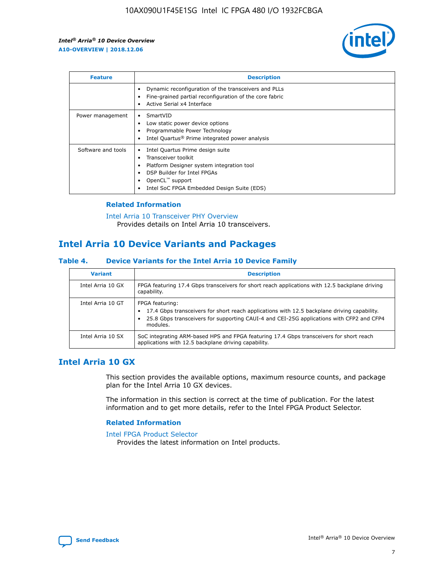

| <b>Feature</b>     | <b>Description</b>                                                                                                                                                                                                            |
|--------------------|-------------------------------------------------------------------------------------------------------------------------------------------------------------------------------------------------------------------------------|
|                    | Dynamic reconfiguration of the transceivers and PLLs<br>Fine-grained partial reconfiguration of the core fabric<br>Active Serial x4 Interface<br>$\bullet$                                                                    |
| Power management   | SmartVID<br>Low static power device options<br>Programmable Power Technology<br>Intel Quartus <sup>®</sup> Prime integrated power analysis                                                                                    |
| Software and tools | Intel Quartus Prime design suite<br>Transceiver toolkit<br>$\bullet$<br>Platform Designer system integration tool<br>DSP Builder for Intel FPGAs<br>OpenCL <sup>™</sup> support<br>Intel SoC FPGA Embedded Design Suite (EDS) |

## **Related Information**

[Intel Arria 10 Transceiver PHY Overview](https://www.intel.com/content/www/us/en/programmable/documentation/nik1398707230472.html#nik1398706768037) Provides details on Intel Arria 10 transceivers.

# **Intel Arria 10 Device Variants and Packages**

#### **Table 4. Device Variants for the Intel Arria 10 Device Family**

| <b>Variant</b>    | <b>Description</b>                                                                                                                                                                                                     |
|-------------------|------------------------------------------------------------------------------------------------------------------------------------------------------------------------------------------------------------------------|
| Intel Arria 10 GX | FPGA featuring 17.4 Gbps transceivers for short reach applications with 12.5 backplane driving<br>capability.                                                                                                          |
| Intel Arria 10 GT | FPGA featuring:<br>17.4 Gbps transceivers for short reach applications with 12.5 backplane driving capability.<br>25.8 Gbps transceivers for supporting CAUI-4 and CEI-25G applications with CFP2 and CFP4<br>modules. |
| Intel Arria 10 SX | SoC integrating ARM-based HPS and FPGA featuring 17.4 Gbps transceivers for short reach<br>applications with 12.5 backplane driving capability.                                                                        |

# **Intel Arria 10 GX**

This section provides the available options, maximum resource counts, and package plan for the Intel Arria 10 GX devices.

The information in this section is correct at the time of publication. For the latest information and to get more details, refer to the Intel FPGA Product Selector.

#### **Related Information**

#### [Intel FPGA Product Selector](http://www.altera.com/products/selector/psg-selector.html) Provides the latest information on Intel products.

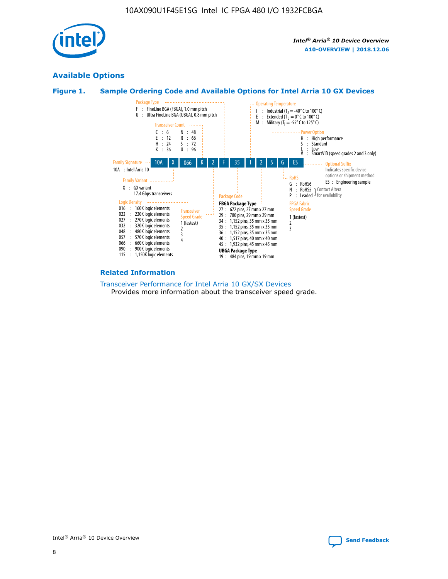

# **Available Options**





#### **Related Information**

[Transceiver Performance for Intel Arria 10 GX/SX Devices](https://www.intel.com/content/www/us/en/programmable/documentation/mcn1413182292568.html#mcn1413213965502) Provides more information about the transceiver speed grade.

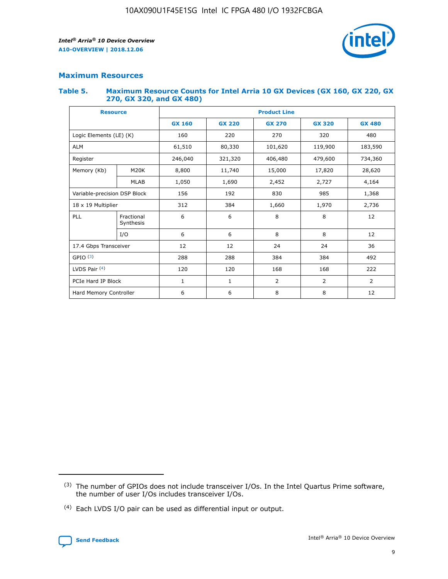

# **Maximum Resources**

#### **Table 5. Maximum Resource Counts for Intel Arria 10 GX Devices (GX 160, GX 220, GX 270, GX 320, and GX 480)**

| <b>Resource</b>              |                         | <b>Product Line</b> |                                                 |                    |                |                |  |  |  |
|------------------------------|-------------------------|---------------------|-------------------------------------------------|--------------------|----------------|----------------|--|--|--|
|                              |                         | <b>GX 160</b>       | <b>GX 220</b><br><b>GX 270</b><br><b>GX 320</b> |                    |                | <b>GX 480</b>  |  |  |  |
| Logic Elements (LE) (K)      |                         | 160                 | 320<br>220<br>270                               |                    |                | 480            |  |  |  |
| <b>ALM</b>                   |                         | 61,510              | 80,330                                          | 101,620            | 119,900        | 183,590        |  |  |  |
| Register                     |                         | 246,040             | 321,320                                         | 479,600<br>406,480 |                | 734,360        |  |  |  |
| Memory (Kb)                  | M <sub>20</sub> K       | 8,800               | 11,740                                          | 15,000             | 17,820         | 28,620         |  |  |  |
|                              | <b>MLAB</b>             | 1,050               | 1,690                                           | 2,452              | 2,727          | 4,164          |  |  |  |
| Variable-precision DSP Block |                         | 156                 | 192                                             | 830                | 985            | 1,368          |  |  |  |
| 18 x 19 Multiplier           |                         | 312                 | 384                                             | 1,970<br>1,660     |                | 2,736          |  |  |  |
| PLL                          | Fractional<br>Synthesis | 6                   | 6                                               | 8                  | 8              | 12             |  |  |  |
|                              | I/O                     | 6                   | 6                                               | 8                  | 8              | 12             |  |  |  |
| 17.4 Gbps Transceiver        |                         | 12                  | 12                                              | 24                 | 24             | 36             |  |  |  |
| GPIO <sup>(3)</sup>          |                         | 288                 | 288                                             | 384                | 384            |                |  |  |  |
| LVDS Pair $(4)$              |                         | 120                 | 120                                             | 168                | 168            | 222            |  |  |  |
| PCIe Hard IP Block           |                         | 1                   | 1                                               | 2                  | $\overline{2}$ | $\overline{2}$ |  |  |  |
| Hard Memory Controller       |                         | 6                   | 6                                               | 8                  | 8              |                |  |  |  |

<sup>(4)</sup> Each LVDS I/O pair can be used as differential input or output.



<sup>(3)</sup> The number of GPIOs does not include transceiver I/Os. In the Intel Quartus Prime software, the number of user I/Os includes transceiver I/Os.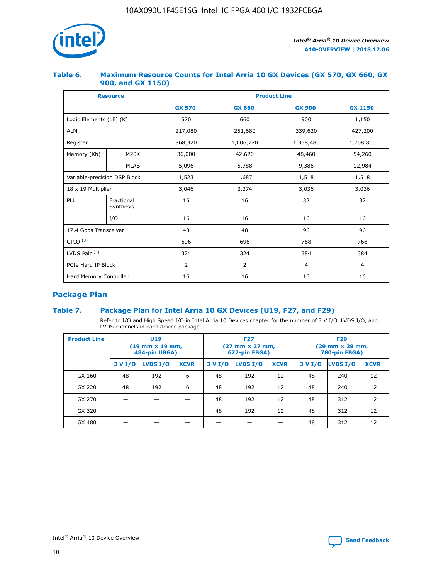

## **Table 6. Maximum Resource Counts for Intel Arria 10 GX Devices (GX 570, GX 660, GX 900, and GX 1150)**

|                              | <b>Resource</b>         | <b>Product Line</b> |                |                |                |  |  |  |
|------------------------------|-------------------------|---------------------|----------------|----------------|----------------|--|--|--|
|                              |                         | <b>GX 570</b>       | <b>GX 660</b>  | <b>GX 900</b>  | <b>GX 1150</b> |  |  |  |
| Logic Elements (LE) (K)      |                         | 570                 | 660            | 900            | 1,150          |  |  |  |
| <b>ALM</b>                   |                         | 217,080             | 251,680        | 339,620        | 427,200        |  |  |  |
| Register                     |                         | 868,320             | 1,006,720      | 1,358,480      | 1,708,800      |  |  |  |
| Memory (Kb)                  | <b>M20K</b>             | 36,000              | 42,620         | 48,460         | 54,260         |  |  |  |
|                              | <b>MLAB</b>             | 5,096               | 5,788          | 9,386          | 12,984         |  |  |  |
| Variable-precision DSP Block |                         | 1,523               | 1,687          | 1,518          | 1,518          |  |  |  |
|                              | 18 x 19 Multiplier      |                     | 3,374          | 3,036          | 3,036          |  |  |  |
| PLL                          | Fractional<br>Synthesis | 16                  | 16             | 32             | 32             |  |  |  |
|                              | I/O                     | 16                  | 16             | 16             | 16             |  |  |  |
| 17.4 Gbps Transceiver        |                         | 48                  | 48<br>96       |                | 96             |  |  |  |
| GPIO <sup>(3)</sup>          |                         | 696                 | 696            | 768            | 768            |  |  |  |
| LVDS Pair $(4)$              |                         | 324                 | 324            | 384            | 384            |  |  |  |
| PCIe Hard IP Block           |                         | 2                   | $\overline{2}$ | $\overline{4}$ | $\overline{4}$ |  |  |  |
| Hard Memory Controller       |                         | 16                  | 16             | 16             | 16             |  |  |  |

# **Package Plan**

# **Table 7. Package Plan for Intel Arria 10 GX Devices (U19, F27, and F29)**

Refer to I/O and High Speed I/O in Intel Arria 10 Devices chapter for the number of 3 V I/O, LVDS I/O, and LVDS channels in each device package.

| <b>Product Line</b> | U <sub>19</sub><br>$(19 \text{ mm} \times 19 \text{ mm})$<br>484-pin UBGA) |          |             |         | <b>F27</b><br>(27 mm × 27 mm,<br>672-pin FBGA) |             | <b>F29</b><br>(29 mm × 29 mm,<br>780-pin FBGA) |          |             |  |
|---------------------|----------------------------------------------------------------------------|----------|-------------|---------|------------------------------------------------|-------------|------------------------------------------------|----------|-------------|--|
|                     | 3 V I/O                                                                    | LVDS I/O | <b>XCVR</b> | 3 V I/O | <b>LVDS I/O</b>                                | <b>XCVR</b> | 3 V I/O                                        | LVDS I/O | <b>XCVR</b> |  |
| GX 160              | 48                                                                         | 192      | 6           | 48      | 192                                            | 12          | 48                                             | 240      | 12          |  |
| GX 220              | 48                                                                         | 192      | 6           | 48      | 192                                            | 12          | 48                                             | 240      | 12          |  |
| GX 270              |                                                                            |          |             | 48      | 192                                            | 12          | 48                                             | 312      | 12          |  |
| GX 320              |                                                                            |          |             | 48      | 192                                            | 12          | 48                                             | 312      | 12          |  |
| GX 480              |                                                                            |          |             |         |                                                |             | 48                                             | 312      | 12          |  |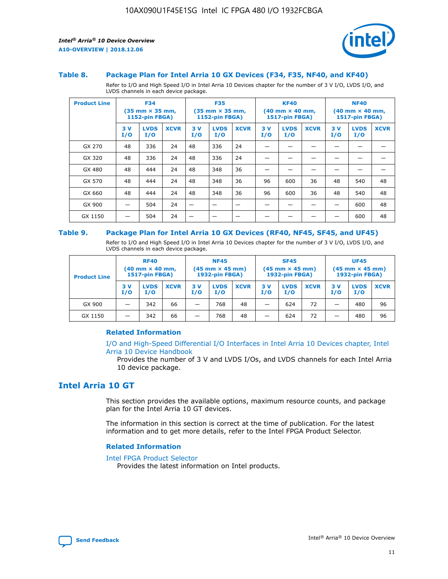

#### **Table 8. Package Plan for Intel Arria 10 GX Devices (F34, F35, NF40, and KF40)**

Refer to I/O and High Speed I/O in Intel Arria 10 Devices chapter for the number of 3 V I/O, LVDS I/O, and LVDS channels in each device package.

| <b>Product Line</b> | <b>F34</b><br>$(35 \text{ mm} \times 35 \text{ mm})$<br><b>1152-pin FBGA)</b> |                    | <b>F35</b><br>$(35 \text{ mm} \times 35 \text{ mm})$<br><b>1152-pin FBGA)</b> |           | <b>KF40</b><br>$(40$ mm $\times$ 40 mm,<br>1517-pin FBGA) |             |           | <b>NF40</b><br>$(40 \text{ mm} \times 40 \text{ mm})$<br>1517-pin FBGA) |             |           |                    |             |
|---------------------|-------------------------------------------------------------------------------|--------------------|-------------------------------------------------------------------------------|-----------|-----------------------------------------------------------|-------------|-----------|-------------------------------------------------------------------------|-------------|-----------|--------------------|-------------|
|                     | 3V<br>I/O                                                                     | <b>LVDS</b><br>I/O | <b>XCVR</b>                                                                   | 3V<br>I/O | <b>LVDS</b><br>I/O                                        | <b>XCVR</b> | 3V<br>I/O | <b>LVDS</b><br>I/O                                                      | <b>XCVR</b> | 3V<br>I/O | <b>LVDS</b><br>I/O | <b>XCVR</b> |
| GX 270              | 48                                                                            | 336                | 24                                                                            | 48        | 336                                                       | 24          |           |                                                                         |             |           |                    |             |
| GX 320              | 48                                                                            | 336                | 24                                                                            | 48        | 336                                                       | 24          |           |                                                                         |             |           |                    |             |
| GX 480              | 48                                                                            | 444                | 24                                                                            | 48        | 348                                                       | 36          |           |                                                                         |             |           |                    |             |
| GX 570              | 48                                                                            | 444                | 24                                                                            | 48        | 348                                                       | 36          | 96        | 600                                                                     | 36          | 48        | 540                | 48          |
| GX 660              | 48                                                                            | 444                | 24                                                                            | 48        | 348                                                       | 36          | 96        | 600                                                                     | 36          | 48        | 540                | 48          |
| GX 900              |                                                                               | 504                | 24                                                                            | –         |                                                           | -           |           |                                                                         |             |           | 600                | 48          |
| GX 1150             |                                                                               | 504                | 24                                                                            |           |                                                           |             |           |                                                                         |             |           | 600                | 48          |

#### **Table 9. Package Plan for Intel Arria 10 GX Devices (RF40, NF45, SF45, and UF45)**

Refer to I/O and High Speed I/O in Intel Arria 10 Devices chapter for the number of 3 V I/O, LVDS I/O, and LVDS channels in each device package.

| <b>Product Line</b> | <b>RF40</b><br>$(40$ mm $\times$ 40 mm,<br>1517-pin FBGA) |                    |             | <b>NF45</b><br>$(45 \text{ mm} \times 45 \text{ mm})$<br><b>1932-pin FBGA)</b> |                    |             | <b>SF45</b><br>$(45 \text{ mm} \times 45 \text{ mm})$<br><b>1932-pin FBGA)</b> |                    |             | <b>UF45</b><br>$(45 \text{ mm} \times 45 \text{ mm})$<br><b>1932-pin FBGA)</b> |                    |             |
|---------------------|-----------------------------------------------------------|--------------------|-------------|--------------------------------------------------------------------------------|--------------------|-------------|--------------------------------------------------------------------------------|--------------------|-------------|--------------------------------------------------------------------------------|--------------------|-------------|
|                     | 3V<br>I/O                                                 | <b>LVDS</b><br>I/O | <b>XCVR</b> | 3 V<br>I/O                                                                     | <b>LVDS</b><br>I/O | <b>XCVR</b> | 3 V<br>I/O                                                                     | <b>LVDS</b><br>I/O | <b>XCVR</b> | 3V<br>I/O                                                                      | <b>LVDS</b><br>I/O | <b>XCVR</b> |
| GX 900              |                                                           | 342                | 66          | _                                                                              | 768                | 48          |                                                                                | 624                | 72          |                                                                                | 480                | 96          |
| GX 1150             |                                                           | 342                | 66          | _                                                                              | 768                | 48          |                                                                                | 624                | 72          |                                                                                | 480                | 96          |

#### **Related Information**

[I/O and High-Speed Differential I/O Interfaces in Intel Arria 10 Devices chapter, Intel](https://www.intel.com/content/www/us/en/programmable/documentation/sam1403482614086.html#sam1403482030321) [Arria 10 Device Handbook](https://www.intel.com/content/www/us/en/programmable/documentation/sam1403482614086.html#sam1403482030321)

Provides the number of 3 V and LVDS I/Os, and LVDS channels for each Intel Arria 10 device package.

# **Intel Arria 10 GT**

This section provides the available options, maximum resource counts, and package plan for the Intel Arria 10 GT devices.

The information in this section is correct at the time of publication. For the latest information and to get more details, refer to the Intel FPGA Product Selector.

#### **Related Information**

#### [Intel FPGA Product Selector](http://www.altera.com/products/selector/psg-selector.html)

Provides the latest information on Intel products.

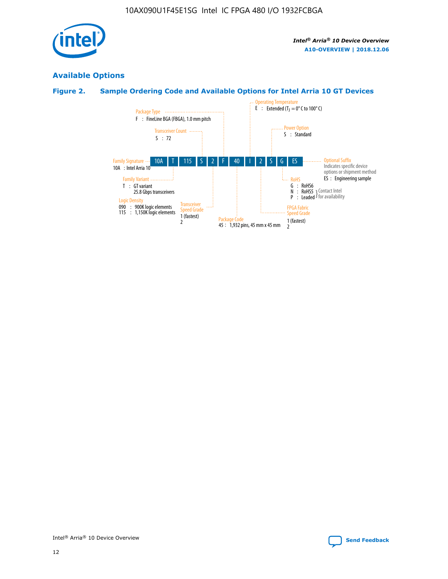

# **Available Options**

# **Figure 2. Sample Ordering Code and Available Options for Intel Arria 10 GT Devices**

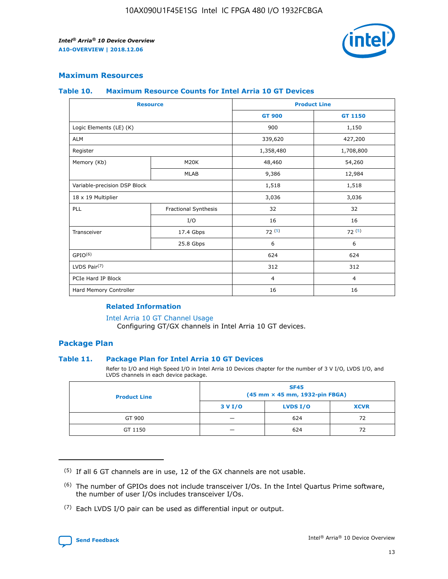

## **Maximum Resources**

#### **Table 10. Maximum Resource Counts for Intel Arria 10 GT Devices**

| <b>Resource</b>              |                      |                | <b>Product Line</b> |  |
|------------------------------|----------------------|----------------|---------------------|--|
|                              |                      | <b>GT 900</b>  | <b>GT 1150</b>      |  |
| Logic Elements (LE) (K)      |                      | 900            | 1,150               |  |
| <b>ALM</b>                   |                      | 339,620        | 427,200             |  |
| Register                     |                      | 1,358,480      | 1,708,800           |  |
| Memory (Kb)                  | M20K                 | 48,460         | 54,260              |  |
|                              | <b>MLAB</b>          | 9,386          | 12,984              |  |
| Variable-precision DSP Block |                      | 1,518          | 1,518               |  |
| 18 x 19 Multiplier           |                      | 3,036          | 3,036               |  |
| <b>PLL</b>                   | Fractional Synthesis | 32             | 32                  |  |
|                              | I/O                  | 16             | 16                  |  |
| Transceiver                  | 17.4 Gbps            | 72(5)          | 72(5)               |  |
|                              | 25.8 Gbps            | 6              | 6                   |  |
| GPIO <sup>(6)</sup>          |                      | 624            | 624                 |  |
| LVDS Pair $(7)$              |                      | 312            | 312                 |  |
| PCIe Hard IP Block           |                      | $\overline{4}$ | $\overline{4}$      |  |
| Hard Memory Controller       |                      | 16             | 16                  |  |

#### **Related Information**

#### [Intel Arria 10 GT Channel Usage](https://www.intel.com/content/www/us/en/programmable/documentation/nik1398707230472.html#nik1398707008178)

Configuring GT/GX channels in Intel Arria 10 GT devices.

## **Package Plan**

#### **Table 11. Package Plan for Intel Arria 10 GT Devices**

Refer to I/O and High Speed I/O in Intel Arria 10 Devices chapter for the number of 3 V I/O, LVDS I/O, and LVDS channels in each device package.

| <b>Product Line</b> | <b>SF45</b><br>(45 mm × 45 mm, 1932-pin FBGA) |                 |             |  |  |  |
|---------------------|-----------------------------------------------|-----------------|-------------|--|--|--|
|                     | 3 V I/O                                       | <b>LVDS I/O</b> | <b>XCVR</b> |  |  |  |
| GT 900              |                                               | 624             | 72          |  |  |  |
| GT 1150             |                                               | 624             | 72          |  |  |  |

<sup>(7)</sup> Each LVDS I/O pair can be used as differential input or output.



 $(5)$  If all 6 GT channels are in use, 12 of the GX channels are not usable.

<sup>(6)</sup> The number of GPIOs does not include transceiver I/Os. In the Intel Quartus Prime software, the number of user I/Os includes transceiver I/Os.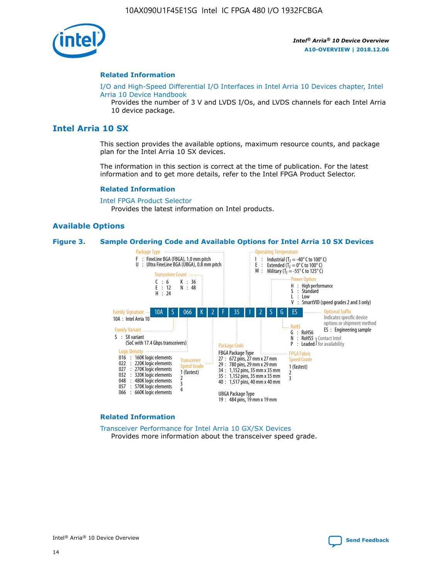

#### **Related Information**

[I/O and High-Speed Differential I/O Interfaces in Intel Arria 10 Devices chapter, Intel](https://www.intel.com/content/www/us/en/programmable/documentation/sam1403482614086.html#sam1403482030321) [Arria 10 Device Handbook](https://www.intel.com/content/www/us/en/programmable/documentation/sam1403482614086.html#sam1403482030321)

Provides the number of 3 V and LVDS I/Os, and LVDS channels for each Intel Arria 10 device package.

# **Intel Arria 10 SX**

This section provides the available options, maximum resource counts, and package plan for the Intel Arria 10 SX devices.

The information in this section is correct at the time of publication. For the latest information and to get more details, refer to the Intel FPGA Product Selector.

#### **Related Information**

[Intel FPGA Product Selector](http://www.altera.com/products/selector/psg-selector.html) Provides the latest information on Intel products.

#### **Available Options**

#### **Figure 3. Sample Ordering Code and Available Options for Intel Arria 10 SX Devices**



#### **Related Information**

[Transceiver Performance for Intel Arria 10 GX/SX Devices](https://www.intel.com/content/www/us/en/programmable/documentation/mcn1413182292568.html#mcn1413213965502) Provides more information about the transceiver speed grade.

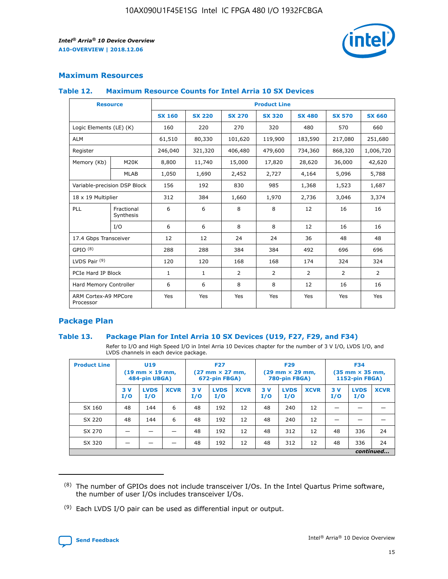

# **Maximum Resources**

#### **Table 12. Maximum Resource Counts for Intel Arria 10 SX Devices**

|                                   | <b>Resource</b>         | <b>Product Line</b> |               |                |                |                |                |                |  |  |  |
|-----------------------------------|-------------------------|---------------------|---------------|----------------|----------------|----------------|----------------|----------------|--|--|--|
|                                   |                         | <b>SX 160</b>       | <b>SX 220</b> | <b>SX 270</b>  | <b>SX 320</b>  | <b>SX 480</b>  | <b>SX 570</b>  | <b>SX 660</b>  |  |  |  |
| Logic Elements (LE) (K)           |                         | 160                 | 220           | 270            | 320            | 480            | 570            | 660            |  |  |  |
| <b>ALM</b>                        |                         | 61,510              | 80,330        | 101,620        | 119,900        | 183,590        | 217,080        | 251,680        |  |  |  |
| Register                          |                         | 246,040             | 321,320       | 406,480        | 479,600        | 734,360        | 868,320        | 1,006,720      |  |  |  |
| Memory (Kb)                       | M <sub>20</sub> K       | 8,800               | 11,740        | 15,000         | 17,820         | 28,620         | 36,000         | 42,620         |  |  |  |
|                                   | <b>MLAB</b>             | 1,050               | 1,690         | 2,452          | 2,727          | 4,164          | 5,096          | 5,788          |  |  |  |
| Variable-precision DSP Block      |                         | 156                 | 192           | 830            | 985            | 1,368          | 1,523          | 1,687          |  |  |  |
| 18 x 19 Multiplier                |                         | 312                 | 384           | 1,660          | 1,970          | 2,736          | 3,046          | 3,374          |  |  |  |
| <b>PLL</b>                        | Fractional<br>Synthesis | 6                   | 6             | 8              | 8              | 12             | 16             | 16             |  |  |  |
|                                   | I/O                     | 6                   | 6             | 8              | 8              | 12             | 16             | 16             |  |  |  |
| 17.4 Gbps Transceiver             |                         | 12                  | 12            | 24             | 24             | 36             | 48             | 48             |  |  |  |
| GPIO <sup>(8)</sup>               |                         | 288                 | 288           | 384            | 384            | 492            | 696            | 696            |  |  |  |
| LVDS Pair $(9)$                   |                         | 120                 | 120           | 168            | 168            | 174            | 324            | 324            |  |  |  |
| PCIe Hard IP Block                |                         | $\mathbf{1}$        | $\mathbf{1}$  | $\overline{2}$ | $\overline{2}$ | $\overline{2}$ | $\overline{2}$ | $\overline{2}$ |  |  |  |
| Hard Memory Controller            |                         | 6                   | 6             | 8              | 8              | 12             | 16             | 16             |  |  |  |
| ARM Cortex-A9 MPCore<br>Processor |                         | Yes                 | Yes           | Yes            | Yes            | Yes            | Yes            | Yes            |  |  |  |

# **Package Plan**

#### **Table 13. Package Plan for Intel Arria 10 SX Devices (U19, F27, F29, and F34)**

Refer to I/O and High Speed I/O in Intel Arria 10 Devices chapter for the number of 3 V I/O, LVDS I/O, and LVDS channels in each device package.

| <b>Product Line</b> | <b>U19</b><br>$(19 \text{ mm} \times 19 \text{ mm})$<br>484-pin UBGA) |                    |             | <b>F27</b><br>$(27 \text{ mm} \times 27 \text{ mm})$<br>672-pin FBGA) |                    | <b>F29</b><br>$(29 \text{ mm} \times 29 \text{ mm})$<br>780-pin FBGA) |           |                    | <b>F34</b><br>$(35 \text{ mm} \times 35 \text{ mm})$<br><b>1152-pin FBGA)</b> |           |                    |             |
|---------------------|-----------------------------------------------------------------------|--------------------|-------------|-----------------------------------------------------------------------|--------------------|-----------------------------------------------------------------------|-----------|--------------------|-------------------------------------------------------------------------------|-----------|--------------------|-------------|
|                     | 3V<br>I/O                                                             | <b>LVDS</b><br>I/O | <b>XCVR</b> | 3V<br>I/O                                                             | <b>LVDS</b><br>I/O | <b>XCVR</b>                                                           | 3V<br>I/O | <b>LVDS</b><br>I/O | <b>XCVR</b>                                                                   | 3V<br>I/O | <b>LVDS</b><br>I/O | <b>XCVR</b> |
| SX 160              | 48                                                                    | 144                | 6           | 48                                                                    | 192                | 12                                                                    | 48        | 240                | 12                                                                            | -         |                    |             |
| SX 220              | 48                                                                    | 144                | 6           | 48                                                                    | 192                | 12                                                                    | 48        | 240                | 12                                                                            |           |                    |             |
| SX 270              |                                                                       |                    |             | 48                                                                    | 192                | 12                                                                    | 48        | 312                | 12                                                                            | 48        | 336                | 24          |
| SX 320              |                                                                       |                    |             | 48                                                                    | 192                | 12                                                                    | 48        | 312                | 12                                                                            | 48        | 336                | 24          |
|                     | continued                                                             |                    |             |                                                                       |                    |                                                                       |           |                    |                                                                               |           |                    |             |

 $(8)$  The number of GPIOs does not include transceiver I/Os. In the Intel Quartus Prime software, the number of user I/Os includes transceiver I/Os.

 $(9)$  Each LVDS I/O pair can be used as differential input or output.

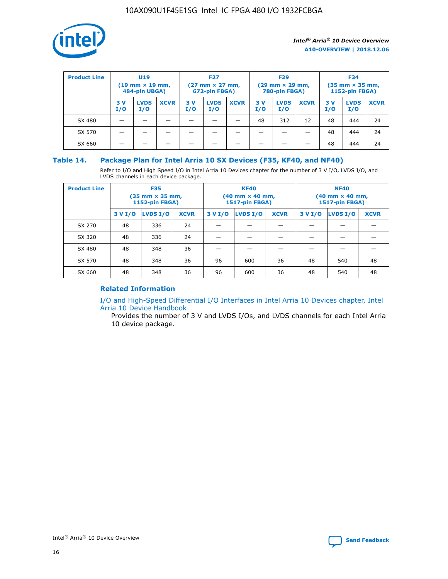

| <b>Product Line</b> | U <sub>19</sub><br>$(19$ mm $\times$ 19 mm,<br>484-pin UBGA) |                    | <b>F27</b><br>$(27 \text{ mm} \times 27 \text{ mm})$<br>672-pin FBGA) |           | <b>F29</b><br>$(29 \text{ mm} \times 29 \text{ mm})$<br>780-pin FBGA) |             |           | <b>F34</b><br>$(35$ mm $\times$ 35 mm,<br><b>1152-pin FBGA)</b> |             |           |                    |             |
|---------------------|--------------------------------------------------------------|--------------------|-----------------------------------------------------------------------|-----------|-----------------------------------------------------------------------|-------------|-----------|-----------------------------------------------------------------|-------------|-----------|--------------------|-------------|
|                     | 3 V<br>I/O                                                   | <b>LVDS</b><br>I/O | <b>XCVR</b>                                                           | 3V<br>I/O | <b>LVDS</b><br>I/O                                                    | <b>XCVR</b> | 3V<br>I/O | <b>LVDS</b><br>I/O                                              | <b>XCVR</b> | 3V<br>I/O | <b>LVDS</b><br>I/O | <b>XCVR</b> |
| SX 480              |                                                              |                    |                                                                       |           |                                                                       |             | 48        | 312                                                             | 12          | 48        | 444                | 24          |
| SX 570              |                                                              |                    |                                                                       |           |                                                                       |             |           |                                                                 |             | 48        | 444                | 24          |
| SX 660              |                                                              |                    |                                                                       |           |                                                                       |             |           |                                                                 |             | 48        | 444                | 24          |

## **Table 14. Package Plan for Intel Arria 10 SX Devices (F35, KF40, and NF40)**

Refer to I/O and High Speed I/O in Intel Arria 10 Devices chapter for the number of 3 V I/O, LVDS I/O, and LVDS channels in each device package.

| <b>Product Line</b> | <b>F35</b><br>$(35 \text{ mm} \times 35 \text{ mm})$<br><b>1152-pin FBGA)</b> |          |             |                                           | <b>KF40</b><br>(40 mm × 40 mm,<br>1517-pin FBGA) |    | <b>NF40</b><br>$(40 \text{ mm} \times 40 \text{ mm})$<br>1517-pin FBGA) |          |             |  |
|---------------------|-------------------------------------------------------------------------------|----------|-------------|-------------------------------------------|--------------------------------------------------|----|-------------------------------------------------------------------------|----------|-------------|--|
|                     | 3 V I/O                                                                       | LVDS I/O | <b>XCVR</b> | <b>LVDS I/O</b><br><b>XCVR</b><br>3 V I/O |                                                  |    | 3 V I/O                                                                 | LVDS I/O | <b>XCVR</b> |  |
| SX 270              | 48                                                                            | 336      | 24          |                                           |                                                  |    |                                                                         |          |             |  |
| SX 320              | 48                                                                            | 336      | 24          |                                           |                                                  |    |                                                                         |          |             |  |
| SX 480              | 48                                                                            | 348      | 36          |                                           |                                                  |    |                                                                         |          |             |  |
| SX 570              | 48                                                                            | 348      | 36          | 96                                        | 600                                              | 36 | 48                                                                      | 540      | 48          |  |
| SX 660              | 48                                                                            | 348      | 36          | 96                                        | 600                                              | 36 | 48                                                                      | 540      | 48          |  |

# **Related Information**

[I/O and High-Speed Differential I/O Interfaces in Intel Arria 10 Devices chapter, Intel](https://www.intel.com/content/www/us/en/programmable/documentation/sam1403482614086.html#sam1403482030321) [Arria 10 Device Handbook](https://www.intel.com/content/www/us/en/programmable/documentation/sam1403482614086.html#sam1403482030321)

Provides the number of 3 V and LVDS I/Os, and LVDS channels for each Intel Arria 10 device package.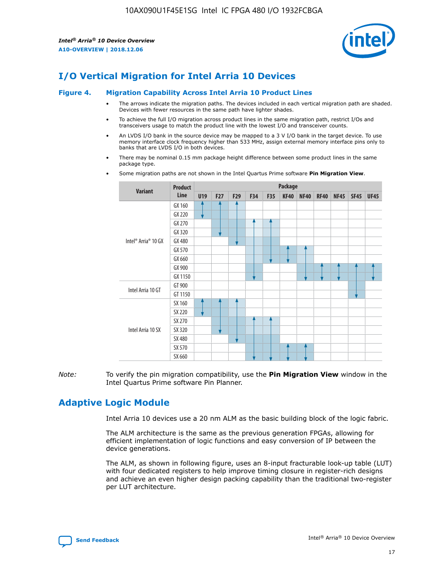

# **I/O Vertical Migration for Intel Arria 10 Devices**

#### **Figure 4. Migration Capability Across Intel Arria 10 Product Lines**

- The arrows indicate the migration paths. The devices included in each vertical migration path are shaded. Devices with fewer resources in the same path have lighter shades.
- To achieve the full I/O migration across product lines in the same migration path, restrict I/Os and transceivers usage to match the product line with the lowest I/O and transceiver counts.
- An LVDS I/O bank in the source device may be mapped to a 3 V I/O bank in the target device. To use memory interface clock frequency higher than 533 MHz, assign external memory interface pins only to banks that are LVDS I/O in both devices.
- There may be nominal 0.15 mm package height difference between some product lines in the same package type.
	- **Variant Product Line Package U19 F27 F29 F34 F35 KF40 NF40 RF40 NF45 SF45 UF45** Intel® Arria® 10 GX GX 160 GX 220 GX 270 GX 320 GX 480 GX 570 GX 660 GX 900 GX 1150 Intel Arria 10 GT GT 900 GT 1150 Intel Arria 10 SX SX 160 SX 220 SX 270 SX 320 SX 480 SX 570 SX 660
- Some migration paths are not shown in the Intel Quartus Prime software **Pin Migration View**.

*Note:* To verify the pin migration compatibility, use the **Pin Migration View** window in the Intel Quartus Prime software Pin Planner.

# **Adaptive Logic Module**

Intel Arria 10 devices use a 20 nm ALM as the basic building block of the logic fabric.

The ALM architecture is the same as the previous generation FPGAs, allowing for efficient implementation of logic functions and easy conversion of IP between the device generations.

The ALM, as shown in following figure, uses an 8-input fracturable look-up table (LUT) with four dedicated registers to help improve timing closure in register-rich designs and achieve an even higher design packing capability than the traditional two-register per LUT architecture.

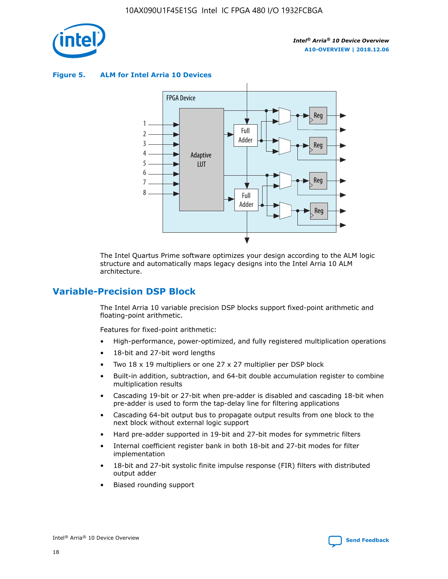

**Figure 5. ALM for Intel Arria 10 Devices**



The Intel Quartus Prime software optimizes your design according to the ALM logic structure and automatically maps legacy designs into the Intel Arria 10 ALM architecture.

# **Variable-Precision DSP Block**

The Intel Arria 10 variable precision DSP blocks support fixed-point arithmetic and floating-point arithmetic.

Features for fixed-point arithmetic:

- High-performance, power-optimized, and fully registered multiplication operations
- 18-bit and 27-bit word lengths
- Two 18 x 19 multipliers or one 27 x 27 multiplier per DSP block
- Built-in addition, subtraction, and 64-bit double accumulation register to combine multiplication results
- Cascading 19-bit or 27-bit when pre-adder is disabled and cascading 18-bit when pre-adder is used to form the tap-delay line for filtering applications
- Cascading 64-bit output bus to propagate output results from one block to the next block without external logic support
- Hard pre-adder supported in 19-bit and 27-bit modes for symmetric filters
- Internal coefficient register bank in both 18-bit and 27-bit modes for filter implementation
- 18-bit and 27-bit systolic finite impulse response (FIR) filters with distributed output adder
- Biased rounding support

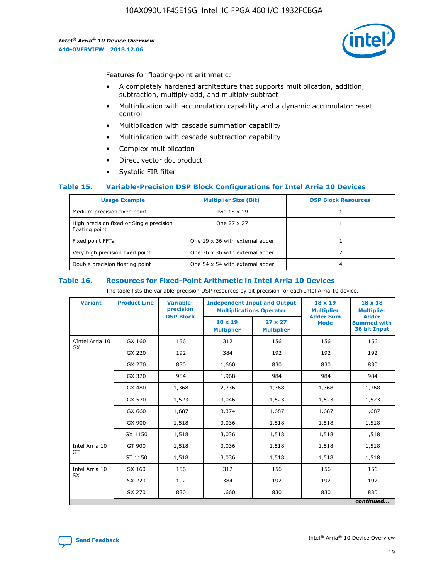

Features for floating-point arithmetic:

- A completely hardened architecture that supports multiplication, addition, subtraction, multiply-add, and multiply-subtract
- Multiplication with accumulation capability and a dynamic accumulator reset control
- Multiplication with cascade summation capability
- Multiplication with cascade subtraction capability
- Complex multiplication
- Direct vector dot product
- Systolic FIR filter

#### **Table 15. Variable-Precision DSP Block Configurations for Intel Arria 10 Devices**

| <b>Usage Example</b>                                       | <b>Multiplier Size (Bit)</b>    | <b>DSP Block Resources</b> |
|------------------------------------------------------------|---------------------------------|----------------------------|
| Medium precision fixed point                               | Two 18 x 19                     |                            |
| High precision fixed or Single precision<br>floating point | One 27 x 27                     |                            |
| Fixed point FFTs                                           | One 19 x 36 with external adder |                            |
| Very high precision fixed point                            | One 36 x 36 with external adder |                            |
| Double precision floating point                            | One 54 x 54 with external adder | 4                          |

#### **Table 16. Resources for Fixed-Point Arithmetic in Intel Arria 10 Devices**

The table lists the variable-precision DSP resources by bit precision for each Intel Arria 10 device.

| <b>Variant</b>  | <b>Product Line</b> | <b>Variable-</b><br>precision<br><b>DSP Block</b> | <b>Independent Input and Output</b><br><b>Multiplications Operator</b> |                                     | 18 x 19<br><b>Multiplier</b><br><b>Adder Sum</b> | $18 \times 18$<br><b>Multiplier</b><br><b>Adder</b> |
|-----------------|---------------------|---------------------------------------------------|------------------------------------------------------------------------|-------------------------------------|--------------------------------------------------|-----------------------------------------------------|
|                 |                     |                                                   | 18 x 19<br><b>Multiplier</b>                                           | $27 \times 27$<br><b>Multiplier</b> | <b>Mode</b>                                      | <b>Summed with</b><br>36 bit Input                  |
| AIntel Arria 10 | GX 160              | 156                                               | 312                                                                    | 156                                 | 156                                              | 156                                                 |
| GX              | GX 220              | 192                                               | 384                                                                    | 192                                 | 192                                              | 192                                                 |
|                 | GX 270              | 830                                               | 1,660                                                                  | 830                                 | 830                                              | 830                                                 |
|                 | GX 320              | 984                                               | 1,968                                                                  | 984                                 | 984                                              | 984                                                 |
|                 | GX 480              | 1,368                                             | 2,736                                                                  | 1,368                               | 1,368                                            | 1,368                                               |
|                 | GX 570              | 1,523                                             | 3,046                                                                  | 1,523                               | 1,523                                            | 1,523                                               |
|                 | GX 660              | 1,687                                             | 3,374                                                                  | 1,687                               | 1,687                                            | 1,687                                               |
|                 | GX 900              | 1,518                                             | 3,036                                                                  | 1,518                               | 1,518                                            | 1,518                                               |
|                 | GX 1150             | 1,518                                             | 3,036                                                                  | 1,518                               | 1,518                                            | 1,518                                               |
| Intel Arria 10  | GT 900              | 1,518                                             | 3,036                                                                  | 1,518                               | 1,518                                            | 1,518                                               |
| GT              | GT 1150             | 1,518                                             | 3,036                                                                  | 1,518                               | 1,518                                            | 1,518                                               |
| Intel Arria 10  | SX 160              | 156                                               | 312                                                                    | 156                                 | 156                                              | 156                                                 |
| <b>SX</b>       | SX 220              | 192                                               | 384                                                                    | 192                                 | 192                                              | 192                                                 |
|                 | SX 270              | 830                                               | 1,660                                                                  | 830                                 | 830                                              | 830                                                 |
|                 |                     |                                                   |                                                                        |                                     |                                                  | continued                                           |

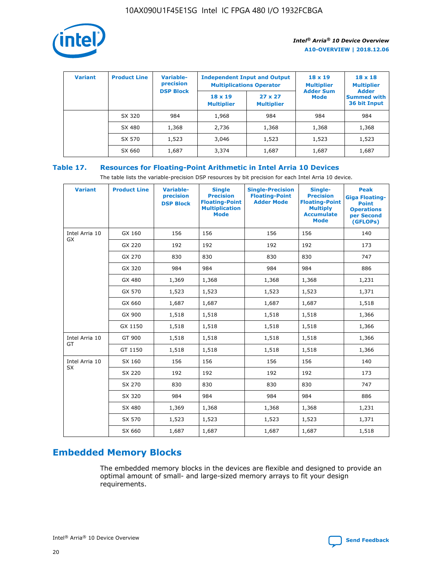

| <b>Variant</b> | <b>Product Line</b> | Variable-<br>precision | <b>Independent Input and Output</b><br><b>Multiplications Operator</b> |                                     | $18 \times 19$<br><b>Multiplier</b> | $18 \times 18$<br><b>Multiplier</b><br><b>Adder</b> |  |
|----------------|---------------------|------------------------|------------------------------------------------------------------------|-------------------------------------|-------------------------------------|-----------------------------------------------------|--|
|                |                     | <b>DSP Block</b>       | $18 \times 19$<br><b>Multiplier</b>                                    | $27 \times 27$<br><b>Multiplier</b> | <b>Adder Sum</b><br><b>Mode</b>     | <b>Summed with</b><br>36 bit Input                  |  |
|                | SX 320              | 984                    | 1,968                                                                  | 984                                 | 984                                 | 984                                                 |  |
|                | SX 480              | 1,368                  | 2,736                                                                  | 1,368                               | 1,368                               | 1,368                                               |  |
|                | SX 570              | 1,523                  | 3,046                                                                  | 1,523                               | 1,523                               | 1,523                                               |  |
|                | SX 660              | 1,687                  | 3,374                                                                  | 1,687                               | 1,687                               | 1,687                                               |  |

# **Table 17. Resources for Floating-Point Arithmetic in Intel Arria 10 Devices**

The table lists the variable-precision DSP resources by bit precision for each Intel Arria 10 device.

| <b>Variant</b> | <b>Product Line</b> | <b>Variable-</b><br>precision<br><b>DSP Block</b> | <b>Single</b><br><b>Precision</b><br><b>Floating-Point</b><br><b>Multiplication</b><br><b>Mode</b> | <b>Single-Precision</b><br><b>Floating-Point</b><br><b>Adder Mode</b> | Single-<br><b>Precision</b><br><b>Floating-Point</b><br><b>Multiply</b><br><b>Accumulate</b><br><b>Mode</b> | <b>Peak</b><br><b>Giga Floating-</b><br><b>Point</b><br><b>Operations</b><br>per Second<br>(GFLOPs) |
|----------------|---------------------|---------------------------------------------------|----------------------------------------------------------------------------------------------------|-----------------------------------------------------------------------|-------------------------------------------------------------------------------------------------------------|-----------------------------------------------------------------------------------------------------|
| Intel Arria 10 | GX 160              | 156                                               | 156                                                                                                | 156                                                                   | 156                                                                                                         | 140                                                                                                 |
| GX             | GX 220              | 192                                               | 192                                                                                                | 192                                                                   | 192                                                                                                         | 173                                                                                                 |
|                | GX 270              | 830                                               | 830                                                                                                | 830                                                                   | 830                                                                                                         | 747                                                                                                 |
|                | GX 320              | 984                                               | 984                                                                                                | 984                                                                   | 984                                                                                                         | 886                                                                                                 |
|                | GX 480              | 1,369                                             | 1,368                                                                                              | 1,368                                                                 | 1,368                                                                                                       | 1,231                                                                                               |
|                | GX 570              | 1,523                                             | 1,523                                                                                              | 1,523                                                                 | 1,523                                                                                                       | 1,371                                                                                               |
|                | GX 660              | 1,687                                             | 1,687                                                                                              | 1,687                                                                 | 1,687                                                                                                       | 1,518                                                                                               |
|                | GX 900              | 1,518                                             | 1,518                                                                                              | 1,518                                                                 | 1,518                                                                                                       | 1,366                                                                                               |
|                | GX 1150             | 1,518                                             | 1,518                                                                                              | 1,518                                                                 | 1,518                                                                                                       | 1,366                                                                                               |
| Intel Arria 10 | GT 900              | 1,518                                             | 1,518                                                                                              | 1,518                                                                 | 1,518                                                                                                       | 1,366                                                                                               |
| GT             | GT 1150             | 1,518                                             | 1,518                                                                                              | 1,518                                                                 | 1,518                                                                                                       | 1,366                                                                                               |
| Intel Arria 10 | SX 160              | 156                                               | 156                                                                                                | 156                                                                   | 156                                                                                                         | 140                                                                                                 |
| <b>SX</b>      | SX 220              | 192                                               | 192                                                                                                | 192                                                                   | 192                                                                                                         | 173                                                                                                 |
|                | SX 270              | 830                                               | 830                                                                                                | 830                                                                   | 830                                                                                                         | 747                                                                                                 |
|                | SX 320              | 984                                               | 984                                                                                                | 984                                                                   | 984                                                                                                         | 886                                                                                                 |
|                | SX 480              | 1,369                                             | 1,368                                                                                              | 1,368                                                                 | 1,368                                                                                                       | 1,231                                                                                               |
|                | SX 570              | 1,523                                             | 1,523                                                                                              | 1,523                                                                 | 1,523                                                                                                       | 1,371                                                                                               |
|                | SX 660              | 1,687                                             | 1,687                                                                                              | 1,687                                                                 | 1,687                                                                                                       | 1,518                                                                                               |

# **Embedded Memory Blocks**

The embedded memory blocks in the devices are flexible and designed to provide an optimal amount of small- and large-sized memory arrays to fit your design requirements.

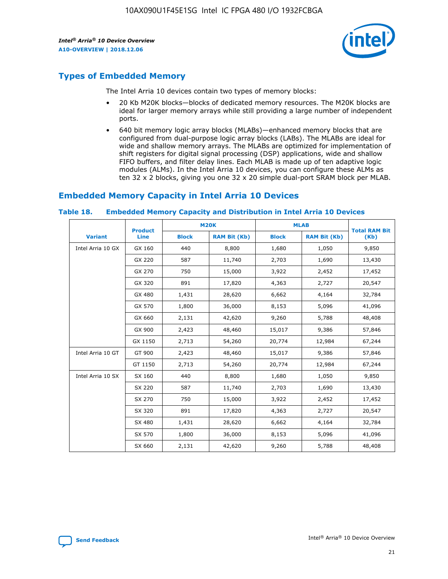

# **Types of Embedded Memory**

The Intel Arria 10 devices contain two types of memory blocks:

- 20 Kb M20K blocks—blocks of dedicated memory resources. The M20K blocks are ideal for larger memory arrays while still providing a large number of independent ports.
- 640 bit memory logic array blocks (MLABs)—enhanced memory blocks that are configured from dual-purpose logic array blocks (LABs). The MLABs are ideal for wide and shallow memory arrays. The MLABs are optimized for implementation of shift registers for digital signal processing (DSP) applications, wide and shallow FIFO buffers, and filter delay lines. Each MLAB is made up of ten adaptive logic modules (ALMs). In the Intel Arria 10 devices, you can configure these ALMs as ten 32 x 2 blocks, giving you one 32 x 20 simple dual-port SRAM block per MLAB.

# **Embedded Memory Capacity in Intel Arria 10 Devices**

|                   | <b>Product</b> |              | <b>M20K</b>         | <b>MLAB</b>  |                     | <b>Total RAM Bit</b> |
|-------------------|----------------|--------------|---------------------|--------------|---------------------|----------------------|
| <b>Variant</b>    | Line           | <b>Block</b> | <b>RAM Bit (Kb)</b> | <b>Block</b> | <b>RAM Bit (Kb)</b> | (Kb)                 |
| Intel Arria 10 GX | GX 160         | 440          | 8,800               | 1,680        | 1,050               | 9,850                |
|                   | GX 220         | 587          | 11,740              | 2,703        | 1,690               | 13,430               |
|                   | GX 270         | 750          | 15,000              | 3,922        | 2,452               | 17,452               |
|                   | GX 320         | 891          | 17,820              | 4,363        | 2,727               | 20,547               |
|                   | GX 480         | 1,431        | 28,620              | 6,662        | 4,164               | 32,784               |
|                   | GX 570         | 1,800        | 36,000              | 8,153        | 5,096               | 41,096               |
|                   | GX 660         | 2,131        | 42,620              | 9,260        | 5,788               | 48,408               |
|                   | GX 900         | 2,423        | 48,460              | 15,017       | 9,386               | 57,846               |
|                   | GX 1150        | 2,713        | 54,260              | 20,774       | 12,984              | 67,244               |
| Intel Arria 10 GT | GT 900         | 2,423        | 48,460              | 15,017       | 9,386               | 57,846               |
|                   | GT 1150        | 2,713        | 54,260              | 20,774       | 12,984              | 67,244               |
| Intel Arria 10 SX | SX 160         | 440          | 8,800               | 1,680        | 1,050               | 9,850                |
|                   | SX 220         | 587          | 11,740              | 2,703        | 1,690               | 13,430               |
|                   | SX 270         | 750          | 15,000              | 3,922        | 2,452               | 17,452               |
|                   | SX 320         | 891          | 17,820              | 4,363        | 2,727               | 20,547               |
|                   | SX 480         | 1,431        | 28,620              | 6,662        | 4,164               | 32,784               |
|                   | SX 570         | 1,800        | 36,000              | 8,153        | 5,096               | 41,096               |
|                   | SX 660         | 2,131        | 42,620              | 9,260        | 5,788               | 48,408               |

#### **Table 18. Embedded Memory Capacity and Distribution in Intel Arria 10 Devices**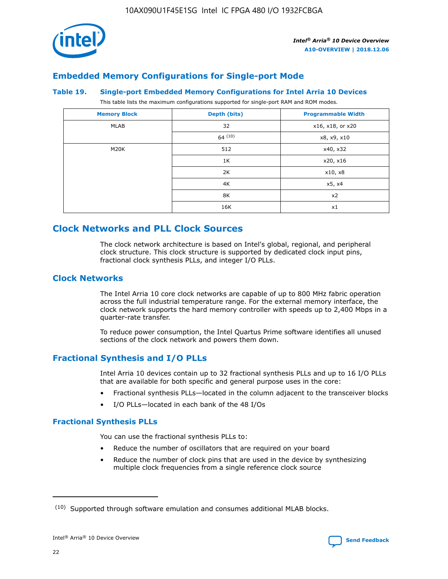

# **Embedded Memory Configurations for Single-port Mode**

#### **Table 19. Single-port Embedded Memory Configurations for Intel Arria 10 Devices**

This table lists the maximum configurations supported for single-port RAM and ROM modes.

| <b>Memory Block</b> | Depth (bits) | <b>Programmable Width</b> |
|---------------------|--------------|---------------------------|
| MLAB                | 32           | x16, x18, or x20          |
|                     | 64(10)       | x8, x9, x10               |
| M20K                | 512          | x40, x32                  |
|                     | 1K           | x20, x16                  |
|                     | 2K           | x10, x8                   |
|                     | 4K           | x5, x4                    |
|                     | 8K           | x2                        |
|                     | 16K          | x1                        |

# **Clock Networks and PLL Clock Sources**

The clock network architecture is based on Intel's global, regional, and peripheral clock structure. This clock structure is supported by dedicated clock input pins, fractional clock synthesis PLLs, and integer I/O PLLs.

# **Clock Networks**

The Intel Arria 10 core clock networks are capable of up to 800 MHz fabric operation across the full industrial temperature range. For the external memory interface, the clock network supports the hard memory controller with speeds up to 2,400 Mbps in a quarter-rate transfer.

To reduce power consumption, the Intel Quartus Prime software identifies all unused sections of the clock network and powers them down.

# **Fractional Synthesis and I/O PLLs**

Intel Arria 10 devices contain up to 32 fractional synthesis PLLs and up to 16 I/O PLLs that are available for both specific and general purpose uses in the core:

- Fractional synthesis PLLs—located in the column adjacent to the transceiver blocks
- I/O PLLs—located in each bank of the 48 I/Os

#### **Fractional Synthesis PLLs**

You can use the fractional synthesis PLLs to:

- Reduce the number of oscillators that are required on your board
- Reduce the number of clock pins that are used in the device by synthesizing multiple clock frequencies from a single reference clock source

<sup>(10)</sup> Supported through software emulation and consumes additional MLAB blocks.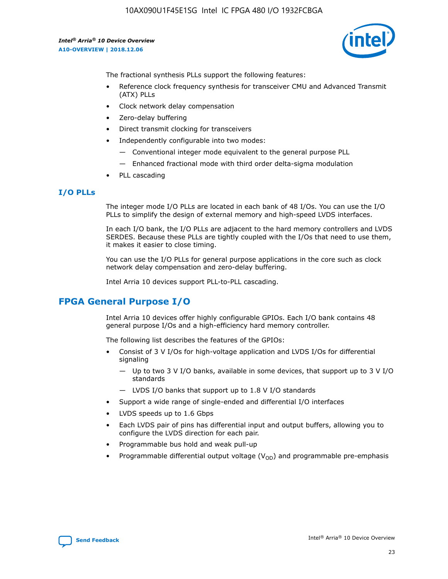10AX090U1F45E1SG Intel IC FPGA 480 I/O 1932FCBGA

*Intel® Arria® 10 Device Overview* **A10-OVERVIEW | 2018.12.06**



The fractional synthesis PLLs support the following features:

- Reference clock frequency synthesis for transceiver CMU and Advanced Transmit (ATX) PLLs
- Clock network delay compensation
- Zero-delay buffering
- Direct transmit clocking for transceivers
- Independently configurable into two modes:
	- Conventional integer mode equivalent to the general purpose PLL
	- Enhanced fractional mode with third order delta-sigma modulation
- PLL cascading

## **I/O PLLs**

The integer mode I/O PLLs are located in each bank of 48 I/Os. You can use the I/O PLLs to simplify the design of external memory and high-speed LVDS interfaces.

In each I/O bank, the I/O PLLs are adjacent to the hard memory controllers and LVDS SERDES. Because these PLLs are tightly coupled with the I/Os that need to use them, it makes it easier to close timing.

You can use the I/O PLLs for general purpose applications in the core such as clock network delay compensation and zero-delay buffering.

Intel Arria 10 devices support PLL-to-PLL cascading.

# **FPGA General Purpose I/O**

Intel Arria 10 devices offer highly configurable GPIOs. Each I/O bank contains 48 general purpose I/Os and a high-efficiency hard memory controller.

The following list describes the features of the GPIOs:

- Consist of 3 V I/Os for high-voltage application and LVDS I/Os for differential signaling
	- Up to two 3 V I/O banks, available in some devices, that support up to 3 V I/O standards
	- LVDS I/O banks that support up to 1.8 V I/O standards
- Support a wide range of single-ended and differential I/O interfaces
- LVDS speeds up to 1.6 Gbps
- Each LVDS pair of pins has differential input and output buffers, allowing you to configure the LVDS direction for each pair.
- Programmable bus hold and weak pull-up
- Programmable differential output voltage  $(V_{OD})$  and programmable pre-emphasis

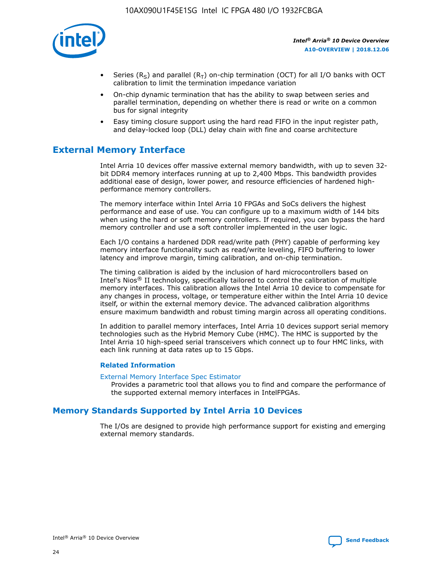

- Series (R<sub>S</sub>) and parallel (R<sub>T</sub>) on-chip termination (OCT) for all I/O banks with OCT calibration to limit the termination impedance variation
- On-chip dynamic termination that has the ability to swap between series and parallel termination, depending on whether there is read or write on a common bus for signal integrity
- Easy timing closure support using the hard read FIFO in the input register path, and delay-locked loop (DLL) delay chain with fine and coarse architecture

# **External Memory Interface**

Intel Arria 10 devices offer massive external memory bandwidth, with up to seven 32 bit DDR4 memory interfaces running at up to 2,400 Mbps. This bandwidth provides additional ease of design, lower power, and resource efficiencies of hardened highperformance memory controllers.

The memory interface within Intel Arria 10 FPGAs and SoCs delivers the highest performance and ease of use. You can configure up to a maximum width of 144 bits when using the hard or soft memory controllers. If required, you can bypass the hard memory controller and use a soft controller implemented in the user logic.

Each I/O contains a hardened DDR read/write path (PHY) capable of performing key memory interface functionality such as read/write leveling, FIFO buffering to lower latency and improve margin, timing calibration, and on-chip termination.

The timing calibration is aided by the inclusion of hard microcontrollers based on Intel's Nios® II technology, specifically tailored to control the calibration of multiple memory interfaces. This calibration allows the Intel Arria 10 device to compensate for any changes in process, voltage, or temperature either within the Intel Arria 10 device itself, or within the external memory device. The advanced calibration algorithms ensure maximum bandwidth and robust timing margin across all operating conditions.

In addition to parallel memory interfaces, Intel Arria 10 devices support serial memory technologies such as the Hybrid Memory Cube (HMC). The HMC is supported by the Intel Arria 10 high-speed serial transceivers which connect up to four HMC links, with each link running at data rates up to 15 Gbps.

#### **Related Information**

#### [External Memory Interface Spec Estimator](http://www.altera.com/technology/memory/estimator/mem-emif-index.html)

Provides a parametric tool that allows you to find and compare the performance of the supported external memory interfaces in IntelFPGAs.

# **Memory Standards Supported by Intel Arria 10 Devices**

The I/Os are designed to provide high performance support for existing and emerging external memory standards.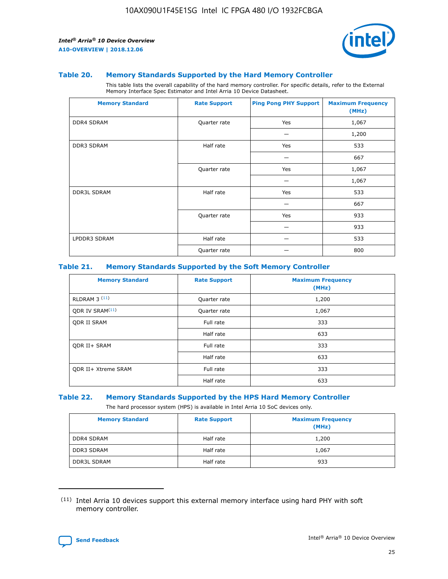

#### **Table 20. Memory Standards Supported by the Hard Memory Controller**

This table lists the overall capability of the hard memory controller. For specific details, refer to the External Memory Interface Spec Estimator and Intel Arria 10 Device Datasheet.

| <b>Memory Standard</b> | <b>Rate Support</b> | <b>Ping Pong PHY Support</b> | <b>Maximum Frequency</b><br>(MHz) |
|------------------------|---------------------|------------------------------|-----------------------------------|
| <b>DDR4 SDRAM</b>      | Quarter rate        | Yes                          | 1,067                             |
|                        |                     |                              | 1,200                             |
| DDR3 SDRAM             | Half rate           | Yes                          | 533                               |
|                        |                     |                              | 667                               |
|                        | Quarter rate        | Yes                          | 1,067                             |
|                        |                     |                              | 1,067                             |
| <b>DDR3L SDRAM</b>     | Half rate           | Yes                          | 533                               |
|                        |                     |                              | 667                               |
|                        | Quarter rate        | Yes                          | 933                               |
|                        |                     |                              | 933                               |
| LPDDR3 SDRAM           | Half rate           |                              | 533                               |
|                        | Quarter rate        |                              | 800                               |

#### **Table 21. Memory Standards Supported by the Soft Memory Controller**

| <b>Memory Standard</b>      | <b>Rate Support</b> | <b>Maximum Frequency</b><br>(MHz) |
|-----------------------------|---------------------|-----------------------------------|
| <b>RLDRAM 3 (11)</b>        | Quarter rate        | 1,200                             |
| ODR IV SRAM <sup>(11)</sup> | Quarter rate        | 1,067                             |
| <b>ODR II SRAM</b>          | Full rate           | 333                               |
|                             | Half rate           | 633                               |
| <b>ODR II+ SRAM</b>         | Full rate           | 333                               |
|                             | Half rate           | 633                               |
| <b>ODR II+ Xtreme SRAM</b>  | Full rate           | 333                               |
|                             | Half rate           | 633                               |

#### **Table 22. Memory Standards Supported by the HPS Hard Memory Controller**

The hard processor system (HPS) is available in Intel Arria 10 SoC devices only.

| <b>Memory Standard</b> | <b>Rate Support</b> | <b>Maximum Frequency</b><br>(MHz) |
|------------------------|---------------------|-----------------------------------|
| <b>DDR4 SDRAM</b>      | Half rate           | 1,200                             |
| <b>DDR3 SDRAM</b>      | Half rate           | 1,067                             |
| <b>DDR3L SDRAM</b>     | Half rate           | 933                               |

<sup>(11)</sup> Intel Arria 10 devices support this external memory interface using hard PHY with soft memory controller.

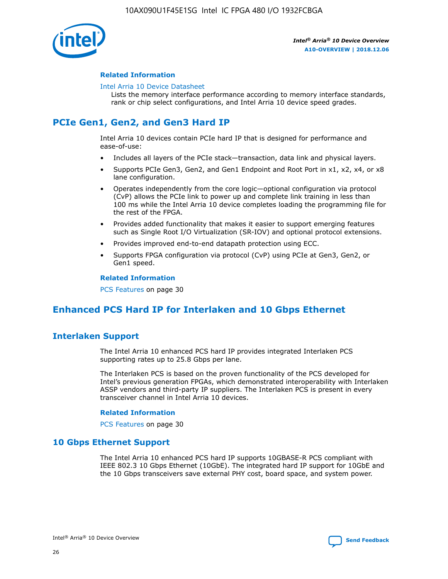

#### **Related Information**

#### [Intel Arria 10 Device Datasheet](https://www.intel.com/content/www/us/en/programmable/documentation/mcn1413182292568.html#mcn1413182153340)

Lists the memory interface performance according to memory interface standards, rank or chip select configurations, and Intel Arria 10 device speed grades.

# **PCIe Gen1, Gen2, and Gen3 Hard IP**

Intel Arria 10 devices contain PCIe hard IP that is designed for performance and ease-of-use:

- Includes all layers of the PCIe stack—transaction, data link and physical layers.
- Supports PCIe Gen3, Gen2, and Gen1 Endpoint and Root Port in x1, x2, x4, or x8 lane configuration.
- Operates independently from the core logic—optional configuration via protocol (CvP) allows the PCIe link to power up and complete link training in less than 100 ms while the Intel Arria 10 device completes loading the programming file for the rest of the FPGA.
- Provides added functionality that makes it easier to support emerging features such as Single Root I/O Virtualization (SR-IOV) and optional protocol extensions.
- Provides improved end-to-end datapath protection using ECC.
- Supports FPGA configuration via protocol (CvP) using PCIe at Gen3, Gen2, or Gen1 speed.

#### **Related Information**

PCS Features on page 30

# **Enhanced PCS Hard IP for Interlaken and 10 Gbps Ethernet**

# **Interlaken Support**

The Intel Arria 10 enhanced PCS hard IP provides integrated Interlaken PCS supporting rates up to 25.8 Gbps per lane.

The Interlaken PCS is based on the proven functionality of the PCS developed for Intel's previous generation FPGAs, which demonstrated interoperability with Interlaken ASSP vendors and third-party IP suppliers. The Interlaken PCS is present in every transceiver channel in Intel Arria 10 devices.

#### **Related Information**

PCS Features on page 30

# **10 Gbps Ethernet Support**

The Intel Arria 10 enhanced PCS hard IP supports 10GBASE-R PCS compliant with IEEE 802.3 10 Gbps Ethernet (10GbE). The integrated hard IP support for 10GbE and the 10 Gbps transceivers save external PHY cost, board space, and system power.

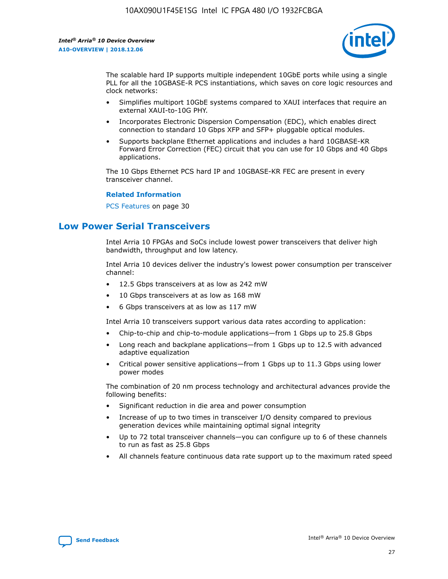

The scalable hard IP supports multiple independent 10GbE ports while using a single PLL for all the 10GBASE-R PCS instantiations, which saves on core logic resources and clock networks:

- Simplifies multiport 10GbE systems compared to XAUI interfaces that require an external XAUI-to-10G PHY.
- Incorporates Electronic Dispersion Compensation (EDC), which enables direct connection to standard 10 Gbps XFP and SFP+ pluggable optical modules.
- Supports backplane Ethernet applications and includes a hard 10GBASE-KR Forward Error Correction (FEC) circuit that you can use for 10 Gbps and 40 Gbps applications.

The 10 Gbps Ethernet PCS hard IP and 10GBASE-KR FEC are present in every transceiver channel.

#### **Related Information**

PCS Features on page 30

# **Low Power Serial Transceivers**

Intel Arria 10 FPGAs and SoCs include lowest power transceivers that deliver high bandwidth, throughput and low latency.

Intel Arria 10 devices deliver the industry's lowest power consumption per transceiver channel:

- 12.5 Gbps transceivers at as low as 242 mW
- 10 Gbps transceivers at as low as 168 mW
- 6 Gbps transceivers at as low as 117 mW

Intel Arria 10 transceivers support various data rates according to application:

- Chip-to-chip and chip-to-module applications—from 1 Gbps up to 25.8 Gbps
- Long reach and backplane applications—from 1 Gbps up to 12.5 with advanced adaptive equalization
- Critical power sensitive applications—from 1 Gbps up to 11.3 Gbps using lower power modes

The combination of 20 nm process technology and architectural advances provide the following benefits:

- Significant reduction in die area and power consumption
- Increase of up to two times in transceiver I/O density compared to previous generation devices while maintaining optimal signal integrity
- Up to 72 total transceiver channels—you can configure up to 6 of these channels to run as fast as 25.8 Gbps
- All channels feature continuous data rate support up to the maximum rated speed

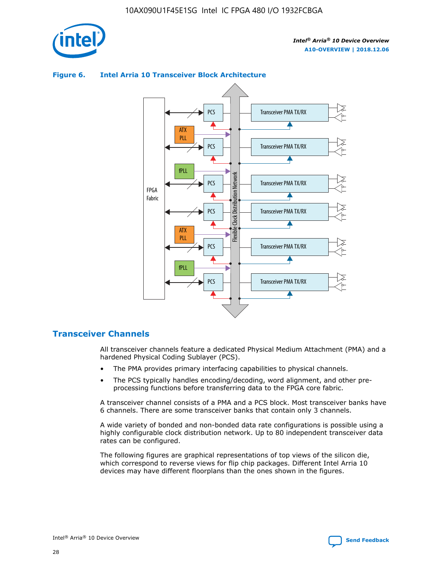

# Transceiver PMA TX/RX PCS ATX PLL Transceiver PMA TX/RX PCS fPLL Network Flexible Clock Distribution Network PCS Transceiver PMA TX/RX FPGA **Clock Distribution** Fabric PCS Transceiver PMA TX/RX ATX Flexible PLL PCS Transceiver PMA TX/RX ▲ fPLL Transceiver PMA TX/RX PCS 4

## **Figure 6. Intel Arria 10 Transceiver Block Architecture**

# **Transceiver Channels**

All transceiver channels feature a dedicated Physical Medium Attachment (PMA) and a hardened Physical Coding Sublayer (PCS).

- The PMA provides primary interfacing capabilities to physical channels.
- The PCS typically handles encoding/decoding, word alignment, and other preprocessing functions before transferring data to the FPGA core fabric.

A transceiver channel consists of a PMA and a PCS block. Most transceiver banks have 6 channels. There are some transceiver banks that contain only 3 channels.

A wide variety of bonded and non-bonded data rate configurations is possible using a highly configurable clock distribution network. Up to 80 independent transceiver data rates can be configured.

The following figures are graphical representations of top views of the silicon die, which correspond to reverse views for flip chip packages. Different Intel Arria 10 devices may have different floorplans than the ones shown in the figures.

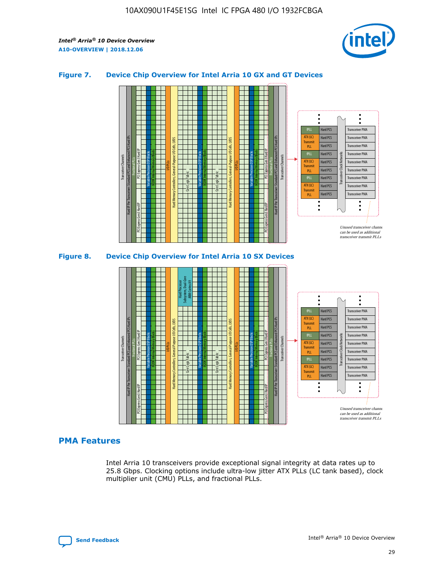

## **Figure 7. Device Chip Overview for Intel Arria 10 GX and GT Devices**





# **PMA Features**

Intel Arria 10 transceivers provide exceptional signal integrity at data rates up to 25.8 Gbps. Clocking options include ultra-low jitter ATX PLLs (LC tank based), clock multiplier unit (CMU) PLLs, and fractional PLLs.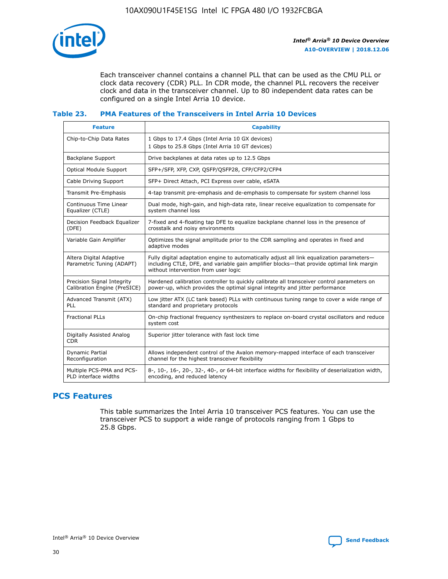

Each transceiver channel contains a channel PLL that can be used as the CMU PLL or clock data recovery (CDR) PLL. In CDR mode, the channel PLL recovers the receiver clock and data in the transceiver channel. Up to 80 independent data rates can be configured on a single Intel Arria 10 device.

## **Table 23. PMA Features of the Transceivers in Intel Arria 10 Devices**

| <b>Feature</b>                                             | <b>Capability</b>                                                                                                                                                                                                             |
|------------------------------------------------------------|-------------------------------------------------------------------------------------------------------------------------------------------------------------------------------------------------------------------------------|
| Chip-to-Chip Data Rates                                    | 1 Gbps to 17.4 Gbps (Intel Arria 10 GX devices)<br>1 Gbps to 25.8 Gbps (Intel Arria 10 GT devices)                                                                                                                            |
| <b>Backplane Support</b>                                   | Drive backplanes at data rates up to 12.5 Gbps                                                                                                                                                                                |
| Optical Module Support                                     | SFP+/SFP, XFP, CXP, QSFP/QSFP28, CFP/CFP2/CFP4                                                                                                                                                                                |
| Cable Driving Support                                      | SFP+ Direct Attach, PCI Express over cable, eSATA                                                                                                                                                                             |
| Transmit Pre-Emphasis                                      | 4-tap transmit pre-emphasis and de-emphasis to compensate for system channel loss                                                                                                                                             |
| Continuous Time Linear<br>Equalizer (CTLE)                 | Dual mode, high-gain, and high-data rate, linear receive equalization to compensate for<br>system channel loss                                                                                                                |
| Decision Feedback Equalizer<br>(DFE)                       | 7-fixed and 4-floating tap DFE to equalize backplane channel loss in the presence of<br>crosstalk and noisy environments                                                                                                      |
| Variable Gain Amplifier                                    | Optimizes the signal amplitude prior to the CDR sampling and operates in fixed and<br>adaptive modes                                                                                                                          |
| Altera Digital Adaptive<br>Parametric Tuning (ADAPT)       | Fully digital adaptation engine to automatically adjust all link equalization parameters-<br>including CTLE, DFE, and variable gain amplifier blocks—that provide optimal link margin<br>without intervention from user logic |
| Precision Signal Integrity<br>Calibration Engine (PreSICE) | Hardened calibration controller to quickly calibrate all transceiver control parameters on<br>power-up, which provides the optimal signal integrity and jitter performance                                                    |
| Advanced Transmit (ATX)<br><b>PLL</b>                      | Low jitter ATX (LC tank based) PLLs with continuous tuning range to cover a wide range of<br>standard and proprietary protocols                                                                                               |
| <b>Fractional PLLs</b>                                     | On-chip fractional frequency synthesizers to replace on-board crystal oscillators and reduce<br>system cost                                                                                                                   |
| Digitally Assisted Analog<br><b>CDR</b>                    | Superior jitter tolerance with fast lock time                                                                                                                                                                                 |
| Dynamic Partial<br>Reconfiguration                         | Allows independent control of the Avalon memory-mapped interface of each transceiver<br>channel for the highest transceiver flexibility                                                                                       |
| Multiple PCS-PMA and PCS-<br>PLD interface widths          | 8-, 10-, 16-, 20-, 32-, 40-, or 64-bit interface widths for flexibility of deserialization width,<br>encoding, and reduced latency                                                                                            |

# **PCS Features**

This table summarizes the Intel Arria 10 transceiver PCS features. You can use the transceiver PCS to support a wide range of protocols ranging from 1 Gbps to 25.8 Gbps.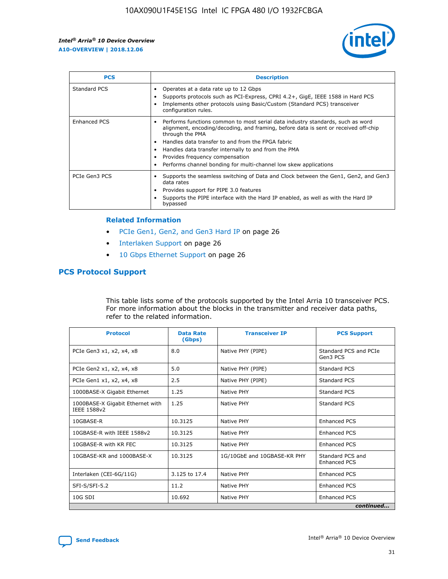

| <b>PCS</b>    | <b>Description</b>                                                                                                                                                                                                                                                                                                                                                                                             |
|---------------|----------------------------------------------------------------------------------------------------------------------------------------------------------------------------------------------------------------------------------------------------------------------------------------------------------------------------------------------------------------------------------------------------------------|
| Standard PCS  | Operates at a data rate up to 12 Gbps<br>Supports protocols such as PCI-Express, CPRI 4.2+, GigE, IEEE 1588 in Hard PCS<br>Implements other protocols using Basic/Custom (Standard PCS) transceiver<br>configuration rules.                                                                                                                                                                                    |
| Enhanced PCS  | Performs functions common to most serial data industry standards, such as word<br>alignment, encoding/decoding, and framing, before data is sent or received off-chip<br>through the PMA<br>• Handles data transfer to and from the FPGA fabric<br>Handles data transfer internally to and from the PMA<br>Provides frequency compensation<br>Performs channel bonding for multi-channel low skew applications |
| PCIe Gen3 PCS | Supports the seamless switching of Data and Clock between the Gen1, Gen2, and Gen3<br>data rates<br>Provides support for PIPE 3.0 features<br>Supports the PIPE interface with the Hard IP enabled, as well as with the Hard IP<br>bypassed                                                                                                                                                                    |

#### **Related Information**

- PCIe Gen1, Gen2, and Gen3 Hard IP on page 26
- Interlaken Support on page 26
- 10 Gbps Ethernet Support on page 26

# **PCS Protocol Support**

This table lists some of the protocols supported by the Intel Arria 10 transceiver PCS. For more information about the blocks in the transmitter and receiver data paths, refer to the related information.

| <b>Protocol</b>                                 | <b>Data Rate</b><br>(Gbps) | <b>Transceiver IP</b>       | <b>PCS Support</b>                      |
|-------------------------------------------------|----------------------------|-----------------------------|-----------------------------------------|
| PCIe Gen3 x1, x2, x4, x8                        | 8.0                        | Native PHY (PIPE)           | Standard PCS and PCIe<br>Gen3 PCS       |
| PCIe Gen2 x1, x2, x4, x8                        | 5.0                        | Native PHY (PIPE)           | <b>Standard PCS</b>                     |
| PCIe Gen1 x1, x2, x4, x8                        | 2.5                        | Native PHY (PIPE)           | Standard PCS                            |
| 1000BASE-X Gigabit Ethernet                     | 1.25                       | Native PHY                  | <b>Standard PCS</b>                     |
| 1000BASE-X Gigabit Ethernet with<br>IEEE 1588v2 | 1.25                       | Native PHY                  | Standard PCS                            |
| 10GBASE-R                                       | 10.3125                    | Native PHY                  | <b>Enhanced PCS</b>                     |
| 10GBASE-R with IEEE 1588v2                      | 10.3125                    | Native PHY                  | <b>Enhanced PCS</b>                     |
| 10GBASE-R with KR FEC                           | 10.3125                    | Native PHY                  | <b>Enhanced PCS</b>                     |
| 10GBASE-KR and 1000BASE-X                       | 10.3125                    | 1G/10GbE and 10GBASE-KR PHY | Standard PCS and<br><b>Enhanced PCS</b> |
| Interlaken (CEI-6G/11G)                         | 3.125 to 17.4              | Native PHY                  | <b>Enhanced PCS</b>                     |
| SFI-S/SFI-5.2                                   | 11.2                       | Native PHY                  | <b>Enhanced PCS</b>                     |
| $10G$ SDI                                       | 10.692                     | Native PHY                  | <b>Enhanced PCS</b>                     |
|                                                 |                            |                             | continued                               |

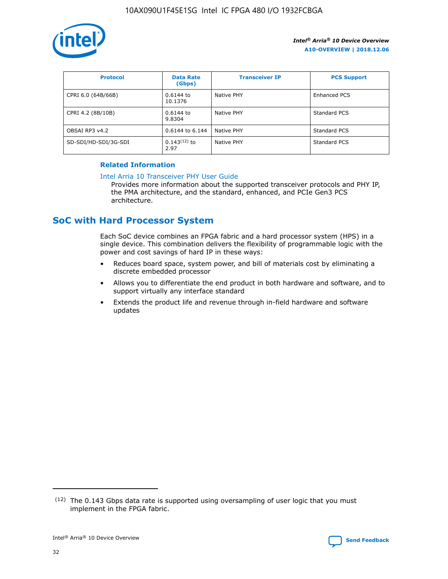

| <b>Protocol</b>      | <b>Data Rate</b><br>(Gbps) | <b>Transceiver IP</b> | <b>PCS Support</b> |
|----------------------|----------------------------|-----------------------|--------------------|
| CPRI 6.0 (64B/66B)   | 0.6144 to<br>10.1376       | Native PHY            | Enhanced PCS       |
| CPRI 4.2 (8B/10B)    | 0.6144 to<br>9.8304        | Native PHY            | Standard PCS       |
| OBSAI RP3 v4.2       | 0.6144 to 6.144            | Native PHY            | Standard PCS       |
| SD-SDI/HD-SDI/3G-SDI | $0.143(12)$ to<br>2.97     | Native PHY            | Standard PCS       |

# **Related Information**

#### [Intel Arria 10 Transceiver PHY User Guide](https://www.intel.com/content/www/us/en/programmable/documentation/nik1398707230472.html#nik1398707091164)

Provides more information about the supported transceiver protocols and PHY IP, the PMA architecture, and the standard, enhanced, and PCIe Gen3 PCS architecture.

# **SoC with Hard Processor System**

Each SoC device combines an FPGA fabric and a hard processor system (HPS) in a single device. This combination delivers the flexibility of programmable logic with the power and cost savings of hard IP in these ways:

- Reduces board space, system power, and bill of materials cost by eliminating a discrete embedded processor
- Allows you to differentiate the end product in both hardware and software, and to support virtually any interface standard
- Extends the product life and revenue through in-field hardware and software updates

 $(12)$  The 0.143 Gbps data rate is supported using oversampling of user logic that you must implement in the FPGA fabric.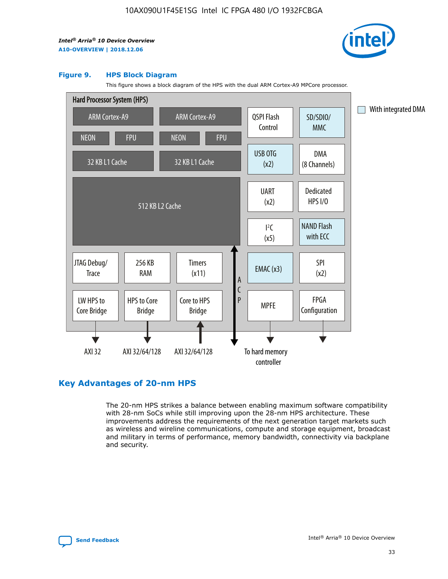

#### **Figure 9. HPS Block Diagram**

This figure shows a block diagram of the HPS with the dual ARM Cortex-A9 MPCore processor.



# **Key Advantages of 20-nm HPS**

The 20-nm HPS strikes a balance between enabling maximum software compatibility with 28-nm SoCs while still improving upon the 28-nm HPS architecture. These improvements address the requirements of the next generation target markets such as wireless and wireline communications, compute and storage equipment, broadcast and military in terms of performance, memory bandwidth, connectivity via backplane and security.

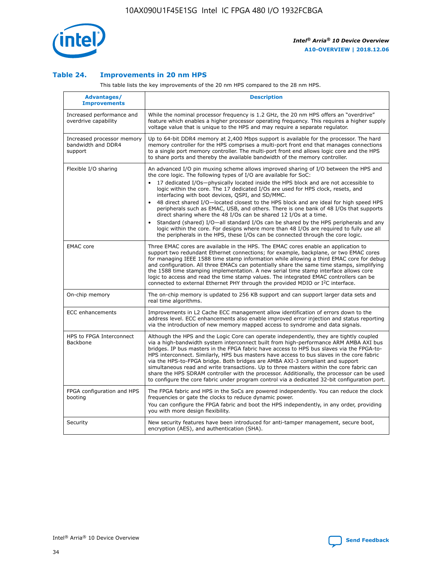

## **Table 24. Improvements in 20 nm HPS**

This table lists the key improvements of the 20 nm HPS compared to the 28 nm HPS.

| Advantages/<br><b>Improvements</b>                          | <b>Description</b>                                                                                                                                                                                                                                                                                                                                                                                                                                                                                                                                                                                                                                                                                                                                                                                                                                                                                                                                |
|-------------------------------------------------------------|---------------------------------------------------------------------------------------------------------------------------------------------------------------------------------------------------------------------------------------------------------------------------------------------------------------------------------------------------------------------------------------------------------------------------------------------------------------------------------------------------------------------------------------------------------------------------------------------------------------------------------------------------------------------------------------------------------------------------------------------------------------------------------------------------------------------------------------------------------------------------------------------------------------------------------------------------|
| Increased performance and<br>overdrive capability           | While the nominal processor frequency is 1.2 GHz, the 20 nm HPS offers an "overdrive"<br>feature which enables a higher processor operating frequency. This requires a higher supply<br>voltage value that is unique to the HPS and may require a separate regulator.                                                                                                                                                                                                                                                                                                                                                                                                                                                                                                                                                                                                                                                                             |
| Increased processor memory<br>bandwidth and DDR4<br>support | Up to 64-bit DDR4 memory at 2,400 Mbps support is available for the processor. The hard<br>memory controller for the HPS comprises a multi-port front end that manages connections<br>to a single port memory controller. The multi-port front end allows logic core and the HPS<br>to share ports and thereby the available bandwidth of the memory controller.                                                                                                                                                                                                                                                                                                                                                                                                                                                                                                                                                                                  |
| Flexible I/O sharing                                        | An advanced I/O pin muxing scheme allows improved sharing of I/O between the HPS and<br>the core logic. The following types of I/O are available for SoC:<br>$\bullet$<br>17 dedicated I/Os-physically located inside the HPS block and are not accessible to<br>logic within the core. The 17 dedicated I/Os are used for HPS clock, resets, and<br>interfacing with boot devices, QSPI, and SD/MMC.<br>48 direct shared I/O-located closest to the HPS block and are ideal for high speed HPS<br>$\bullet$<br>peripherals such as EMAC, USB, and others. There is one bank of 48 I/Os that supports<br>direct sharing where the 48 I/Os can be shared 12 I/Os at a time.<br>Standard (shared) I/O-all standard I/Os can be shared by the HPS peripherals and any<br>logic within the core. For designs where more than 48 I/Os are required to fully use all<br>the peripherals in the HPS, these I/Os can be connected through the core logic. |
| <b>EMAC</b> core                                            | Three EMAC cores are available in the HPS. The EMAC cores enable an application to<br>support two redundant Ethernet connections; for example, backplane, or two EMAC cores<br>for managing IEEE 1588 time stamp information while allowing a third EMAC core for debug<br>and configuration. All three EMACs can potentially share the same time stamps, simplifying<br>the 1588 time stamping implementation. A new serial time stamp interface allows core<br>logic to access and read the time stamp values. The integrated EMAC controllers can be<br>connected to external Ethernet PHY through the provided MDIO or I <sup>2</sup> C interface.                                                                                                                                                                                                                                                                                            |
| On-chip memory                                              | The on-chip memory is updated to 256 KB support and can support larger data sets and<br>real time algorithms.                                                                                                                                                                                                                                                                                                                                                                                                                                                                                                                                                                                                                                                                                                                                                                                                                                     |
| <b>ECC</b> enhancements                                     | Improvements in L2 Cache ECC management allow identification of errors down to the<br>address level. ECC enhancements also enable improved error injection and status reporting<br>via the introduction of new memory mapped access to syndrome and data signals.                                                                                                                                                                                                                                                                                                                                                                                                                                                                                                                                                                                                                                                                                 |
| HPS to FPGA Interconnect<br>Backbone                        | Although the HPS and the Logic Core can operate independently, they are tightly coupled<br>via a high-bandwidth system interconnect built from high-performance ARM AMBA AXI bus<br>bridges. IP bus masters in the FPGA fabric have access to HPS bus slaves via the FPGA-to-<br>HPS interconnect. Similarly, HPS bus masters have access to bus slaves in the core fabric<br>via the HPS-to-FPGA bridge. Both bridges are AMBA AXI-3 compliant and support<br>simultaneous read and write transactions. Up to three masters within the core fabric can<br>share the HPS SDRAM controller with the processor. Additionally, the processor can be used<br>to configure the core fabric under program control via a dedicated 32-bit configuration port.                                                                                                                                                                                            |
| FPGA configuration and HPS<br>booting                       | The FPGA fabric and HPS in the SoCs are powered independently. You can reduce the clock<br>frequencies or gate the clocks to reduce dynamic power.<br>You can configure the FPGA fabric and boot the HPS independently, in any order, providing<br>you with more design flexibility.                                                                                                                                                                                                                                                                                                                                                                                                                                                                                                                                                                                                                                                              |
| Security                                                    | New security features have been introduced for anti-tamper management, secure boot,<br>encryption (AES), and authentication (SHA).                                                                                                                                                                                                                                                                                                                                                                                                                                                                                                                                                                                                                                                                                                                                                                                                                |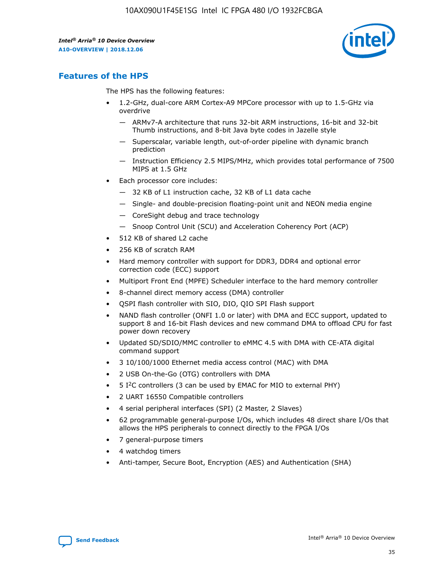

# **Features of the HPS**

The HPS has the following features:

- 1.2-GHz, dual-core ARM Cortex-A9 MPCore processor with up to 1.5-GHz via overdrive
	- ARMv7-A architecture that runs 32-bit ARM instructions, 16-bit and 32-bit Thumb instructions, and 8-bit Java byte codes in Jazelle style
	- Superscalar, variable length, out-of-order pipeline with dynamic branch prediction
	- Instruction Efficiency 2.5 MIPS/MHz, which provides total performance of 7500 MIPS at 1.5 GHz
- Each processor core includes:
	- 32 KB of L1 instruction cache, 32 KB of L1 data cache
	- Single- and double-precision floating-point unit and NEON media engine
	- CoreSight debug and trace technology
	- Snoop Control Unit (SCU) and Acceleration Coherency Port (ACP)
- 512 KB of shared L2 cache
- 256 KB of scratch RAM
- Hard memory controller with support for DDR3, DDR4 and optional error correction code (ECC) support
- Multiport Front End (MPFE) Scheduler interface to the hard memory controller
- 8-channel direct memory access (DMA) controller
- QSPI flash controller with SIO, DIO, QIO SPI Flash support
- NAND flash controller (ONFI 1.0 or later) with DMA and ECC support, updated to support 8 and 16-bit Flash devices and new command DMA to offload CPU for fast power down recovery
- Updated SD/SDIO/MMC controller to eMMC 4.5 with DMA with CE-ATA digital command support
- 3 10/100/1000 Ethernet media access control (MAC) with DMA
- 2 USB On-the-Go (OTG) controllers with DMA
- $\bullet$  5 I<sup>2</sup>C controllers (3 can be used by EMAC for MIO to external PHY)
- 2 UART 16550 Compatible controllers
- 4 serial peripheral interfaces (SPI) (2 Master, 2 Slaves)
- 62 programmable general-purpose I/Os, which includes 48 direct share I/Os that allows the HPS peripherals to connect directly to the FPGA I/Os
- 7 general-purpose timers
- 4 watchdog timers
- Anti-tamper, Secure Boot, Encryption (AES) and Authentication (SHA)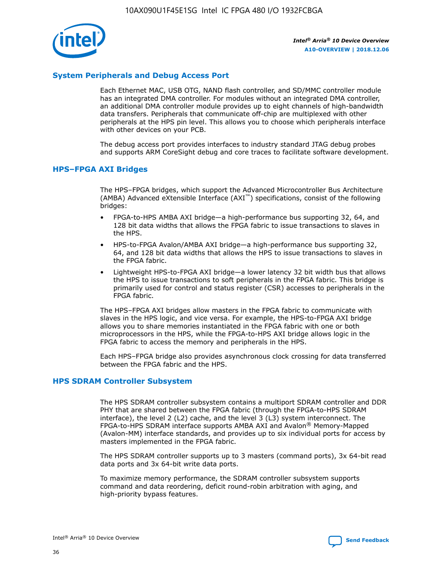

# **System Peripherals and Debug Access Port**

Each Ethernet MAC, USB OTG, NAND flash controller, and SD/MMC controller module has an integrated DMA controller. For modules without an integrated DMA controller, an additional DMA controller module provides up to eight channels of high-bandwidth data transfers. Peripherals that communicate off-chip are multiplexed with other peripherals at the HPS pin level. This allows you to choose which peripherals interface with other devices on your PCB.

The debug access port provides interfaces to industry standard JTAG debug probes and supports ARM CoreSight debug and core traces to facilitate software development.

## **HPS–FPGA AXI Bridges**

The HPS–FPGA bridges, which support the Advanced Microcontroller Bus Architecture (AMBA) Advanced eXtensible Interface (AXI™) specifications, consist of the following bridges:

- FPGA-to-HPS AMBA AXI bridge—a high-performance bus supporting 32, 64, and 128 bit data widths that allows the FPGA fabric to issue transactions to slaves in the HPS.
- HPS-to-FPGA Avalon/AMBA AXI bridge—a high-performance bus supporting 32, 64, and 128 bit data widths that allows the HPS to issue transactions to slaves in the FPGA fabric.
- Lightweight HPS-to-FPGA AXI bridge—a lower latency 32 bit width bus that allows the HPS to issue transactions to soft peripherals in the FPGA fabric. This bridge is primarily used for control and status register (CSR) accesses to peripherals in the FPGA fabric.

The HPS–FPGA AXI bridges allow masters in the FPGA fabric to communicate with slaves in the HPS logic, and vice versa. For example, the HPS-to-FPGA AXI bridge allows you to share memories instantiated in the FPGA fabric with one or both microprocessors in the HPS, while the FPGA-to-HPS AXI bridge allows logic in the FPGA fabric to access the memory and peripherals in the HPS.

Each HPS–FPGA bridge also provides asynchronous clock crossing for data transferred between the FPGA fabric and the HPS.

#### **HPS SDRAM Controller Subsystem**

The HPS SDRAM controller subsystem contains a multiport SDRAM controller and DDR PHY that are shared between the FPGA fabric (through the FPGA-to-HPS SDRAM interface), the level 2 (L2) cache, and the level 3 (L3) system interconnect. The FPGA-to-HPS SDRAM interface supports AMBA AXI and Avalon® Memory-Mapped (Avalon-MM) interface standards, and provides up to six individual ports for access by masters implemented in the FPGA fabric.

The HPS SDRAM controller supports up to 3 masters (command ports), 3x 64-bit read data ports and 3x 64-bit write data ports.

To maximize memory performance, the SDRAM controller subsystem supports command and data reordering, deficit round-robin arbitration with aging, and high-priority bypass features.

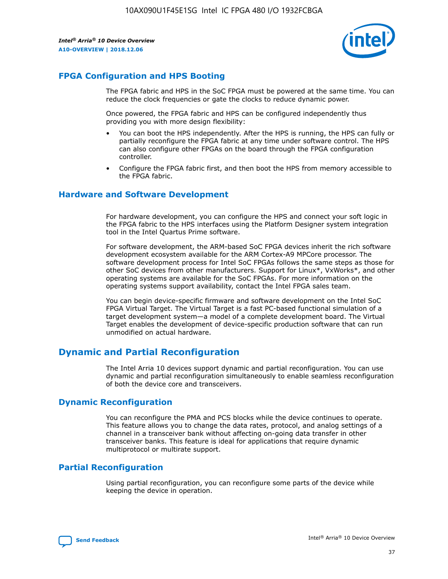

# **FPGA Configuration and HPS Booting**

The FPGA fabric and HPS in the SoC FPGA must be powered at the same time. You can reduce the clock frequencies or gate the clocks to reduce dynamic power.

Once powered, the FPGA fabric and HPS can be configured independently thus providing you with more design flexibility:

- You can boot the HPS independently. After the HPS is running, the HPS can fully or partially reconfigure the FPGA fabric at any time under software control. The HPS can also configure other FPGAs on the board through the FPGA configuration controller.
- Configure the FPGA fabric first, and then boot the HPS from memory accessible to the FPGA fabric.

## **Hardware and Software Development**

For hardware development, you can configure the HPS and connect your soft logic in the FPGA fabric to the HPS interfaces using the Platform Designer system integration tool in the Intel Quartus Prime software.

For software development, the ARM-based SoC FPGA devices inherit the rich software development ecosystem available for the ARM Cortex-A9 MPCore processor. The software development process for Intel SoC FPGAs follows the same steps as those for other SoC devices from other manufacturers. Support for Linux\*, VxWorks\*, and other operating systems are available for the SoC FPGAs. For more information on the operating systems support availability, contact the Intel FPGA sales team.

You can begin device-specific firmware and software development on the Intel SoC FPGA Virtual Target. The Virtual Target is a fast PC-based functional simulation of a target development system—a model of a complete development board. The Virtual Target enables the development of device-specific production software that can run unmodified on actual hardware.

# **Dynamic and Partial Reconfiguration**

The Intel Arria 10 devices support dynamic and partial reconfiguration. You can use dynamic and partial reconfiguration simultaneously to enable seamless reconfiguration of both the device core and transceivers.

# **Dynamic Reconfiguration**

You can reconfigure the PMA and PCS blocks while the device continues to operate. This feature allows you to change the data rates, protocol, and analog settings of a channel in a transceiver bank without affecting on-going data transfer in other transceiver banks. This feature is ideal for applications that require dynamic multiprotocol or multirate support.

# **Partial Reconfiguration**

Using partial reconfiguration, you can reconfigure some parts of the device while keeping the device in operation.

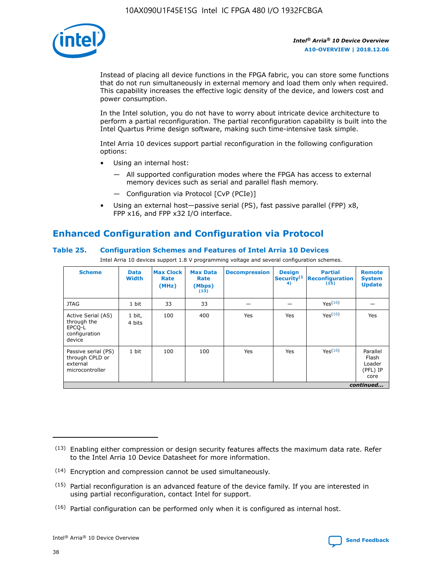

Instead of placing all device functions in the FPGA fabric, you can store some functions that do not run simultaneously in external memory and load them only when required. This capability increases the effective logic density of the device, and lowers cost and power consumption.

In the Intel solution, you do not have to worry about intricate device architecture to perform a partial reconfiguration. The partial reconfiguration capability is built into the Intel Quartus Prime design software, making such time-intensive task simple.

Intel Arria 10 devices support partial reconfiguration in the following configuration options:

- Using an internal host:
	- All supported configuration modes where the FPGA has access to external memory devices such as serial and parallel flash memory.
	- Configuration via Protocol [CvP (PCIe)]
- Using an external host—passive serial (PS), fast passive parallel (FPP) x8, FPP x16, and FPP x32 I/O interface.

# **Enhanced Configuration and Configuration via Protocol**

# **Table 25. Configuration Schemes and Features of Intel Arria 10 Devices**

Intel Arria 10 devices support 1.8 V programming voltage and several configuration schemes.

| <b>Scheme</b>                                                          | <b>Data</b><br><b>Width</b> | <b>Max Clock</b><br>Rate<br>(MHz) | <b>Max Data</b><br>Rate<br>(Mbps)<br>(13) | <b>Decompression</b> | <b>Design</b><br>Security <sup>(1</sup><br>4) | <b>Partial</b><br><b>Reconfiguration</b><br>(15) | <b>Remote</b><br><b>System</b><br><b>Update</b> |
|------------------------------------------------------------------------|-----------------------------|-----------------------------------|-------------------------------------------|----------------------|-----------------------------------------------|--------------------------------------------------|-------------------------------------------------|
| <b>JTAG</b>                                                            | 1 bit                       | 33                                | 33                                        |                      |                                               | Yes(16)                                          |                                                 |
| Active Serial (AS)<br>through the<br>EPCO-L<br>configuration<br>device | 1 bit,<br>4 bits            | 100                               | 400                                       | Yes                  | Yes                                           | $Y_{PS}(16)$                                     | Yes                                             |
| Passive serial (PS)<br>through CPLD or<br>external<br>microcontroller  | 1 bit                       | 100                               | 100                                       | Yes                  | Yes                                           | Yes(16)                                          | Parallel<br>Flash<br>Loader<br>(PFL) IP<br>core |
|                                                                        |                             |                                   |                                           |                      |                                               |                                                  | continued                                       |

<sup>(13)</sup> Enabling either compression or design security features affects the maximum data rate. Refer to the Intel Arria 10 Device Datasheet for more information.

<sup>(14)</sup> Encryption and compression cannot be used simultaneously.

 $(15)$  Partial reconfiguration is an advanced feature of the device family. If you are interested in using partial reconfiguration, contact Intel for support.

 $(16)$  Partial configuration can be performed only when it is configured as internal host.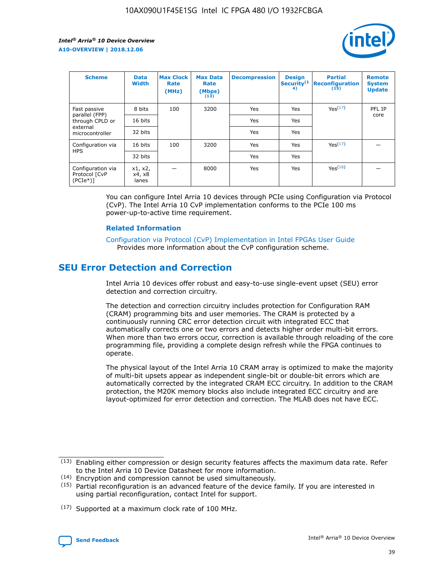

| <b>Scheme</b>                                   | <b>Data</b><br><b>Width</b> | <b>Max Clock</b><br>Rate<br>(MHz) | <b>Max Data</b><br>Rate<br>(Mbps)<br>(13) | <b>Decompression</b> | <b>Design</b><br>Security <sup>(1</sup><br>4) | <b>Partial</b><br><b>Reconfiguration</b><br>(15) | <b>Remote</b><br><b>System</b><br><b>Update</b> |
|-------------------------------------------------|-----------------------------|-----------------------------------|-------------------------------------------|----------------------|-----------------------------------------------|--------------------------------------------------|-------------------------------------------------|
| Fast passive                                    | 8 bits                      | 100                               | 3200                                      | Yes                  | Yes                                           | Yes(17)                                          | PFL IP                                          |
| parallel (FPP)<br>through CPLD or               | 16 bits                     |                                   |                                           | Yes                  | Yes                                           |                                                  | core                                            |
| external<br>microcontroller                     | 32 bits                     |                                   |                                           | Yes                  | Yes                                           |                                                  |                                                 |
| Configuration via                               | 16 bits                     | 100                               | 3200                                      | Yes                  | Yes                                           | Yes <sup>(17)</sup>                              |                                                 |
| <b>HPS</b>                                      | 32 bits                     |                                   |                                           | Yes                  | Yes                                           |                                                  |                                                 |
| Configuration via<br>Protocol [CvP<br>$(PCIe*)$ | x1, x2,<br>x4, x8<br>lanes  |                                   | 8000                                      | Yes                  | Yes                                           | Yes <sup>(16)</sup>                              |                                                 |

You can configure Intel Arria 10 devices through PCIe using Configuration via Protocol (CvP). The Intel Arria 10 CvP implementation conforms to the PCIe 100 ms power-up-to-active time requirement.

#### **Related Information**

[Configuration via Protocol \(CvP\) Implementation in Intel FPGAs User Guide](https://www.intel.com/content/www/us/en/programmable/documentation/dsu1441819344145.html#dsu1442269728522) Provides more information about the CvP configuration scheme.

# **SEU Error Detection and Correction**

Intel Arria 10 devices offer robust and easy-to-use single-event upset (SEU) error detection and correction circuitry.

The detection and correction circuitry includes protection for Configuration RAM (CRAM) programming bits and user memories. The CRAM is protected by a continuously running CRC error detection circuit with integrated ECC that automatically corrects one or two errors and detects higher order multi-bit errors. When more than two errors occur, correction is available through reloading of the core programming file, providing a complete design refresh while the FPGA continues to operate.

The physical layout of the Intel Arria 10 CRAM array is optimized to make the majority of multi-bit upsets appear as independent single-bit or double-bit errors which are automatically corrected by the integrated CRAM ECC circuitry. In addition to the CRAM protection, the M20K memory blocks also include integrated ECC circuitry and are layout-optimized for error detection and correction. The MLAB does not have ECC.

(14) Encryption and compression cannot be used simultaneously.

<sup>(17)</sup> Supported at a maximum clock rate of 100 MHz.



 $(13)$  Enabling either compression or design security features affects the maximum data rate. Refer to the Intel Arria 10 Device Datasheet for more information.

 $(15)$  Partial reconfiguration is an advanced feature of the device family. If you are interested in using partial reconfiguration, contact Intel for support.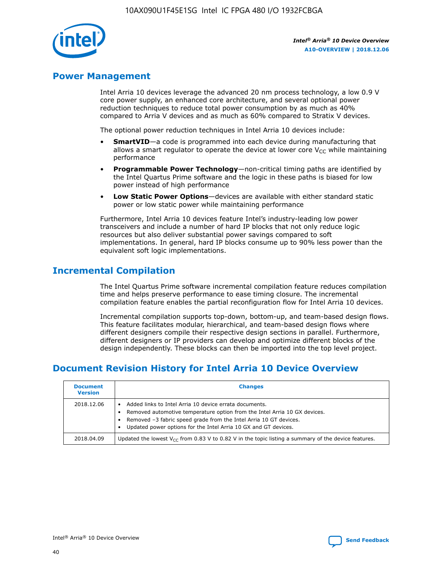

# **Power Management**

Intel Arria 10 devices leverage the advanced 20 nm process technology, a low 0.9 V core power supply, an enhanced core architecture, and several optional power reduction techniques to reduce total power consumption by as much as 40% compared to Arria V devices and as much as 60% compared to Stratix V devices.

The optional power reduction techniques in Intel Arria 10 devices include:

- **SmartVID**—a code is programmed into each device during manufacturing that allows a smart regulator to operate the device at lower core  $V_{CC}$  while maintaining performance
- **Programmable Power Technology**—non-critical timing paths are identified by the Intel Quartus Prime software and the logic in these paths is biased for low power instead of high performance
- **Low Static Power Options**—devices are available with either standard static power or low static power while maintaining performance

Furthermore, Intel Arria 10 devices feature Intel's industry-leading low power transceivers and include a number of hard IP blocks that not only reduce logic resources but also deliver substantial power savings compared to soft implementations. In general, hard IP blocks consume up to 90% less power than the equivalent soft logic implementations.

# **Incremental Compilation**

The Intel Quartus Prime software incremental compilation feature reduces compilation time and helps preserve performance to ease timing closure. The incremental compilation feature enables the partial reconfiguration flow for Intel Arria 10 devices.

Incremental compilation supports top-down, bottom-up, and team-based design flows. This feature facilitates modular, hierarchical, and team-based design flows where different designers compile their respective design sections in parallel. Furthermore, different designers or IP providers can develop and optimize different blocks of the design independently. These blocks can then be imported into the top level project.

# **Document Revision History for Intel Arria 10 Device Overview**

| <b>Document</b><br><b>Version</b> | <b>Changes</b>                                                                                                                                                                                                                                                              |
|-----------------------------------|-----------------------------------------------------------------------------------------------------------------------------------------------------------------------------------------------------------------------------------------------------------------------------|
| 2018.12.06                        | Added links to Intel Arria 10 device errata documents.<br>Removed automotive temperature option from the Intel Arria 10 GX devices.<br>Removed -3 fabric speed grade from the Intel Arria 10 GT devices.<br>Updated power options for the Intel Arria 10 GX and GT devices. |
| 2018.04.09                        | Updated the lowest $V_{CC}$ from 0.83 V to 0.82 V in the topic listing a summary of the device features.                                                                                                                                                                    |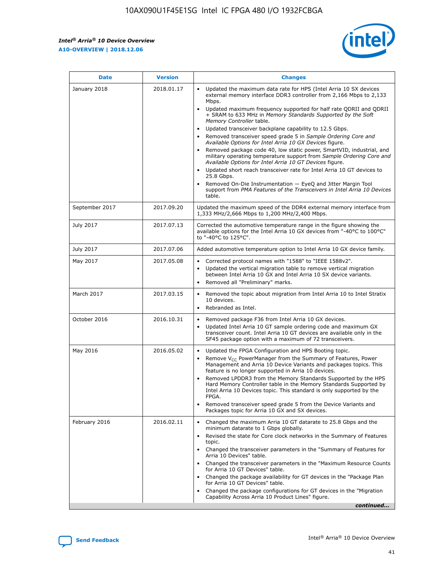

| <b>Date</b>    | <b>Version</b> | <b>Changes</b>                                                                                                                                                                                                                                                                                                                                                                                                                                                                                                                                                                                                                                                                                                                                                                                                                                                                                                                                               |
|----------------|----------------|--------------------------------------------------------------------------------------------------------------------------------------------------------------------------------------------------------------------------------------------------------------------------------------------------------------------------------------------------------------------------------------------------------------------------------------------------------------------------------------------------------------------------------------------------------------------------------------------------------------------------------------------------------------------------------------------------------------------------------------------------------------------------------------------------------------------------------------------------------------------------------------------------------------------------------------------------------------|
| January 2018   | 2018.01.17     | Updated the maximum data rate for HPS (Intel Arria 10 SX devices<br>external memory interface DDR3 controller from 2,166 Mbps to 2,133<br>Mbps.<br>Updated maximum frequency supported for half rate QDRII and QDRII<br>+ SRAM to 633 MHz in Memory Standards Supported by the Soft<br>Memory Controller table.<br>Updated transceiver backplane capability to 12.5 Gbps.<br>Removed transceiver speed grade 5 in Sample Ordering Core and<br>Available Options for Intel Arria 10 GX Devices figure.<br>Removed package code 40, low static power, SmartVID, industrial, and<br>military operating temperature support from Sample Ordering Core and<br>Available Options for Intel Arria 10 GT Devices figure.<br>Updated short reach transceiver rate for Intel Arria 10 GT devices to<br>25.8 Gbps.<br>Removed On-Die Instrumentation - EyeQ and Jitter Margin Tool<br>support from PMA Features of the Transceivers in Intel Arria 10 Devices<br>table. |
| September 2017 | 2017.09.20     | Updated the maximum speed of the DDR4 external memory interface from<br>1,333 MHz/2,666 Mbps to 1,200 MHz/2,400 Mbps.                                                                                                                                                                                                                                                                                                                                                                                                                                                                                                                                                                                                                                                                                                                                                                                                                                        |
| July 2017      | 2017.07.13     | Corrected the automotive temperature range in the figure showing the<br>available options for the Intel Arria 10 GX devices from "-40°C to 100°C"<br>to "-40°C to 125°C".                                                                                                                                                                                                                                                                                                                                                                                                                                                                                                                                                                                                                                                                                                                                                                                    |
| July 2017      | 2017.07.06     | Added automotive temperature option to Intel Arria 10 GX device family.                                                                                                                                                                                                                                                                                                                                                                                                                                                                                                                                                                                                                                                                                                                                                                                                                                                                                      |
| May 2017       | 2017.05.08     | Corrected protocol names with "1588" to "IEEE 1588v2".<br>$\bullet$<br>Updated the vertical migration table to remove vertical migration<br>$\bullet$<br>between Intel Arria 10 GX and Intel Arria 10 SX device variants.<br>Removed all "Preliminary" marks.<br>$\bullet$                                                                                                                                                                                                                                                                                                                                                                                                                                                                                                                                                                                                                                                                                   |
| March 2017     | 2017.03.15     | Removed the topic about migration from Intel Arria 10 to Intel Stratix<br>$\bullet$<br>10 devices.<br>Rebranded as Intel.<br>$\bullet$                                                                                                                                                                                                                                                                                                                                                                                                                                                                                                                                                                                                                                                                                                                                                                                                                       |
| October 2016   | 2016.10.31     | Removed package F36 from Intel Arria 10 GX devices.<br>Updated Intel Arria 10 GT sample ordering code and maximum GX<br>$\bullet$<br>transceiver count. Intel Arria 10 GT devices are available only in the<br>SF45 package option with a maximum of 72 transceivers.                                                                                                                                                                                                                                                                                                                                                                                                                                                                                                                                                                                                                                                                                        |
| May 2016       | 2016.05.02     | Updated the FPGA Configuration and HPS Booting topic.<br>$\bullet$<br>Remove V <sub>CC</sub> PowerManager from the Summary of Features, Power<br>Management and Arria 10 Device Variants and packages topics. This<br>feature is no longer supported in Arria 10 devices.<br>Removed LPDDR3 from the Memory Standards Supported by the HPS<br>Hard Memory Controller table in the Memory Standards Supported by<br>Intel Arria 10 Devices topic. This standard is only supported by the<br><b>FPGA</b><br>Removed transceiver speed grade 5 from the Device Variants and<br>Packages topic for Arria 10 GX and SX devices.                                                                                                                                                                                                                                                                                                                                   |
| February 2016  | 2016.02.11     | Changed the maximum Arria 10 GT datarate to 25.8 Gbps and the<br>$\bullet$<br>minimum datarate to 1 Gbps globally.<br>Revised the state for Core clock networks in the Summary of Features<br>$\bullet$<br>topic.<br>Changed the transceiver parameters in the "Summary of Features for<br>$\bullet$<br>Arria 10 Devices" table.<br>Changed the transceiver parameters in the "Maximum Resource Counts<br>for Arria 10 GT Devices" table.<br>Changed the package availability for GT devices in the "Package Plan<br>for Arria 10 GT Devices" table.<br>Changed the package configurations for GT devices in the "Migration"<br>Capability Across Arria 10 Product Lines" figure.<br>continued                                                                                                                                                                                                                                                               |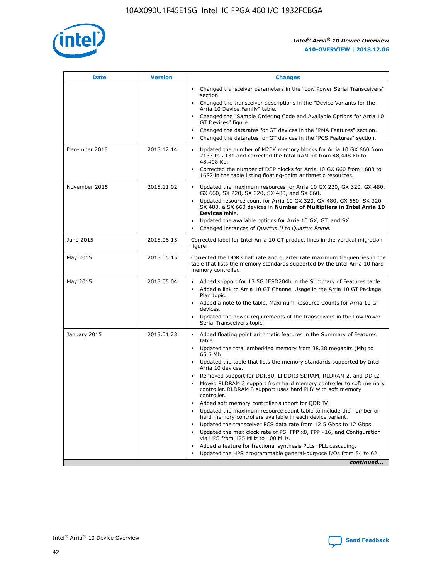

| <b>Date</b>   | <b>Version</b> | <b>Changes</b>                                                                                                                                                               |
|---------------|----------------|------------------------------------------------------------------------------------------------------------------------------------------------------------------------------|
|               |                | Changed transceiver parameters in the "Low Power Serial Transceivers"<br>$\bullet$<br>section.                                                                               |
|               |                | • Changed the transceiver descriptions in the "Device Variants for the<br>Arria 10 Device Family" table.                                                                     |
|               |                | • Changed the "Sample Ordering Code and Available Options for Arria 10<br>GT Devices" figure.                                                                                |
|               |                | Changed the datarates for GT devices in the "PMA Features" section.                                                                                                          |
|               |                | Changed the datarates for GT devices in the "PCS Features" section.<br>$\bullet$                                                                                             |
| December 2015 | 2015.12.14     | Updated the number of M20K memory blocks for Arria 10 GX 660 from<br>2133 to 2131 and corrected the total RAM bit from 48,448 Kb to<br>48,408 Kb.                            |
|               |                | Corrected the number of DSP blocks for Arria 10 GX 660 from 1688 to<br>$\bullet$<br>1687 in the table listing floating-point arithmetic resources.                           |
| November 2015 | 2015.11.02     | Updated the maximum resources for Arria 10 GX 220, GX 320, GX 480,<br>GX 660, SX 220, SX 320, SX 480, and SX 660.                                                            |
|               |                | Updated resource count for Arria 10 GX 320, GX 480, GX 660, SX 320,<br>SX 480, a SX 660 devices in Number of Multipliers in Intel Arria 10<br><b>Devices</b> table.          |
|               |                | Updated the available options for Arria 10 GX, GT, and SX.<br>$\bullet$                                                                                                      |
|               |                | Changed instances of Quartus II to Quartus Prime.<br>$\bullet$                                                                                                               |
| June 2015     | 2015.06.15     | Corrected label for Intel Arria 10 GT product lines in the vertical migration<br>figure.                                                                                     |
| May 2015      | 2015.05.15     | Corrected the DDR3 half rate and quarter rate maximum frequencies in the<br>table that lists the memory standards supported by the Intel Arria 10 hard<br>memory controller. |
| May 2015      | 2015.05.04     | • Added support for 13.5G JESD204b in the Summary of Features table.                                                                                                         |
|               |                | Added a link to Arria 10 GT Channel Usage in the Arria 10 GT Package<br>$\bullet$<br>Plan topic.                                                                             |
|               |                | • Added a note to the table, Maximum Resource Counts for Arria 10 GT<br>devices.                                                                                             |
|               |                | • Updated the power requirements of the transceivers in the Low Power<br>Serial Transceivers topic.                                                                          |
| January 2015  | 2015.01.23     | • Added floating point arithmetic features in the Summary of Features<br>table.                                                                                              |
|               |                | • Updated the total embedded memory from 38.38 megabits (Mb) to<br>65.6 Mb.                                                                                                  |
|               |                | • Updated the table that lists the memory standards supported by Intel<br>Arria 10 devices.                                                                                  |
|               |                | Removed support for DDR3U, LPDDR3 SDRAM, RLDRAM 2, and DDR2.                                                                                                                 |
|               |                | Moved RLDRAM 3 support from hard memory controller to soft memory<br>controller. RLDRAM 3 support uses hard PHY with soft memory<br>controller.                              |
|               |                | Added soft memory controller support for QDR IV.                                                                                                                             |
|               |                | Updated the maximum resource count table to include the number of<br>hard memory controllers available in each device variant.                                               |
|               |                | Updated the transceiver PCS data rate from 12.5 Gbps to 12 Gbps.                                                                                                             |
|               |                | Updated the max clock rate of PS, FPP x8, FPP x16, and Configuration<br>via HPS from 125 MHz to 100 MHz.                                                                     |
|               |                | Added a feature for fractional synthesis PLLs: PLL cascading.                                                                                                                |
|               |                | Updated the HPS programmable general-purpose I/Os from 54 to 62.<br>$\bullet$                                                                                                |
|               |                | continued                                                                                                                                                                    |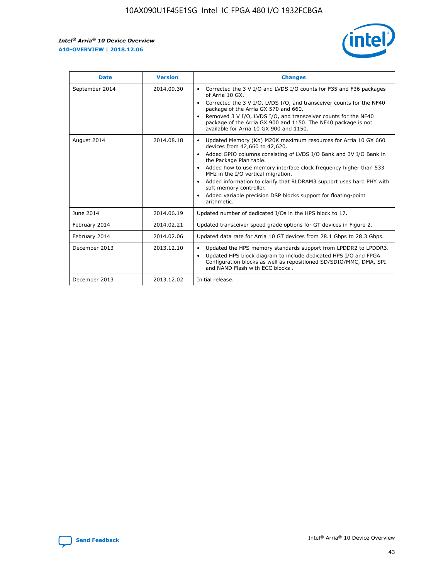

| <b>Date</b>    | <b>Version</b> | <b>Changes</b>                                                                                                                                                                                                                                                                                                                                                                                                                                                                                                                                      |
|----------------|----------------|-----------------------------------------------------------------------------------------------------------------------------------------------------------------------------------------------------------------------------------------------------------------------------------------------------------------------------------------------------------------------------------------------------------------------------------------------------------------------------------------------------------------------------------------------------|
| September 2014 | 2014.09.30     | Corrected the 3 V I/O and LVDS I/O counts for F35 and F36 packages<br>$\bullet$<br>of Arria 10 GX.<br>Corrected the 3 V I/O, LVDS I/O, and transceiver counts for the NF40<br>$\bullet$<br>package of the Arria GX 570 and 660.<br>Removed 3 V I/O, LVDS I/O, and transceiver counts for the NF40<br>$\bullet$<br>package of the Arria GX 900 and 1150. The NF40 package is not<br>available for Arria 10 GX 900 and 1150.                                                                                                                          |
| August 2014    | 2014.08.18     | Updated Memory (Kb) M20K maximum resources for Arria 10 GX 660<br>devices from 42,660 to 42,620.<br>Added GPIO columns consisting of LVDS I/O Bank and 3V I/O Bank in<br>$\bullet$<br>the Package Plan table.<br>Added how to use memory interface clock frequency higher than 533<br>$\bullet$<br>MHz in the I/O vertical migration.<br>Added information to clarify that RLDRAM3 support uses hard PHY with<br>$\bullet$<br>soft memory controller.<br>Added variable precision DSP blocks support for floating-point<br>$\bullet$<br>arithmetic. |
| June 2014      | 2014.06.19     | Updated number of dedicated I/Os in the HPS block to 17.                                                                                                                                                                                                                                                                                                                                                                                                                                                                                            |
| February 2014  | 2014.02.21     | Updated transceiver speed grade options for GT devices in Figure 2.                                                                                                                                                                                                                                                                                                                                                                                                                                                                                 |
| February 2014  | 2014.02.06     | Updated data rate for Arria 10 GT devices from 28.1 Gbps to 28.3 Gbps.                                                                                                                                                                                                                                                                                                                                                                                                                                                                              |
| December 2013  | 2013.12.10     | Updated the HPS memory standards support from LPDDR2 to LPDDR3.<br>Updated HPS block diagram to include dedicated HPS I/O and FPGA<br>$\bullet$<br>Configuration blocks as well as repositioned SD/SDIO/MMC, DMA, SPI<br>and NAND Flash with ECC blocks.                                                                                                                                                                                                                                                                                            |
| December 2013  | 2013.12.02     | Initial release.                                                                                                                                                                                                                                                                                                                                                                                                                                                                                                                                    |